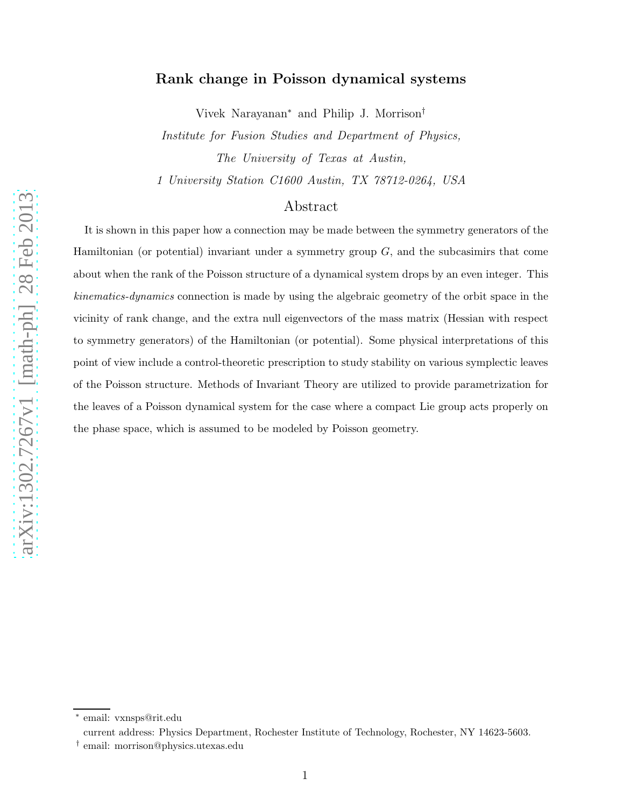# Rank change in Poisson dynamical systems

Vivek Narayanan<sup>∗</sup> and Philip J. Morrison†

Institute for Fusion Studies and Department of Physics, The University of Texas at Austin,

1 University Station C1600 Austin, TX 78712-0264, USA

# Abstract

It is shown in this paper how a connection may be made between the symmetry generators of the Hamiltonian (or potential) invariant under a symmetry group  $G$ , and the subcasimirs that come about when the rank of the Poisson structure of a dynamical system drops by an even integer. This *kinematics-dynamics* connection is made by using the algebraic geometry of the orbit space in the vicinity of rank change, and the extra null eigenvectors of the mass matrix (Hessian with respect to symmetry generators) of the Hamiltonian (or potential). Some physical interpretations of this point of view include a control-theoretic prescription to study stability on various symplectic leaves of the Poisson structure. Methods of Invariant Theory are utilized to provide parametrization for the leaves of a Poisson dynamical system for the case where a compact Lie group acts properly on the phase space, which is assumed to be modeled by Poisson geometry.

<sup>∗</sup> email: vxnsps@rit.edu

current address: Physics Department, Rochester Institute of Technology, Rochester, NY 14623-5603.

<sup>†</sup> email: morrison@physics.utexas.edu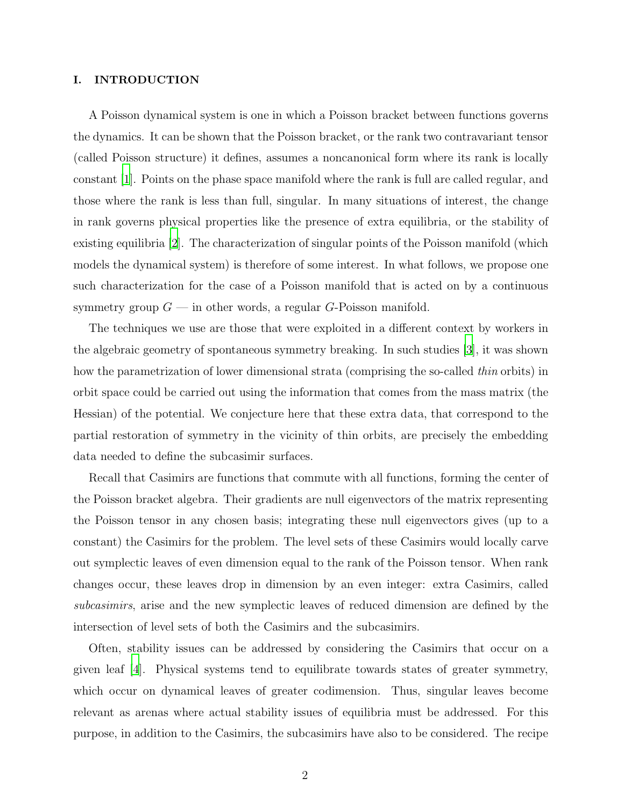# I. INTRODUCTION

A Poisson dynamical system is one in which a Poisson bracket between functions governs the dynamics. It can be shown that the Poisson bracket, or the rank two contravariant tensor (called Poisson structure) it defines, assumes a noncanonical form where its rank is locally constant [\[1](#page-27-0)]. Points on the phase space manifold where the rank is full are called regular, and those where the rank is less than full, singular. In many situations of interest, the change in rank governs physical properties like the presence of extra equilibria, or the stability of existing equilibria [\[2](#page-28-0)]. The characterization of singular points of the Poisson manifold (which models the dynamical system) is therefore of some interest. In what follows, we propose one such characterization for the case of a Poisson manifold that is acted on by a continuous symmetry group  $G$  — in other words, a regular  $G$ -Poisson manifold.

The techniques we use are those that were exploited in a different context by workers in the algebraic geometry of spontaneous symmetry breaking. In such studies [\[3\]](#page-28-1), it was shown how the parametrization of lower dimensional strata (comprising the so-called *thin* orbits) in orbit space could be carried out using the information that comes from the mass matrix (the Hessian) of the potential. We conjecture here that these extra data, that correspond to the partial restoration of symmetry in the vicinity of thin orbits, are precisely the embedding data needed to define the subcasimir surfaces.

Recall that Casimirs are functions that commute with all functions, forming the center of the Poisson bracket algebra. Their gradients are null eigenvectors of the matrix representing the Poisson tensor in any chosen basis; integrating these null eigenvectors gives (up to a constant) the Casimirs for the problem. The level sets of these Casimirs would locally carve out symplectic leaves of even dimension equal to the rank of the Poisson tensor. When rank changes occur, these leaves drop in dimension by an even integer: extra Casimirs, called subcasimirs, arise and the new symplectic leaves of reduced dimension are defined by the intersection of level sets of both the Casimirs and the subcasimirs.

Often, stability issues can be addressed by considering the Casimirs that occur on a given leaf [\[4](#page-28-2)]. Physical systems tend to equilibrate towards states of greater symmetry, which occur on dynamical leaves of greater codimension. Thus, singular leaves become relevant as arenas where actual stability issues of equilibria must be addressed. For this purpose, in addition to the Casimirs, the subcasimirs have also to be considered. The recipe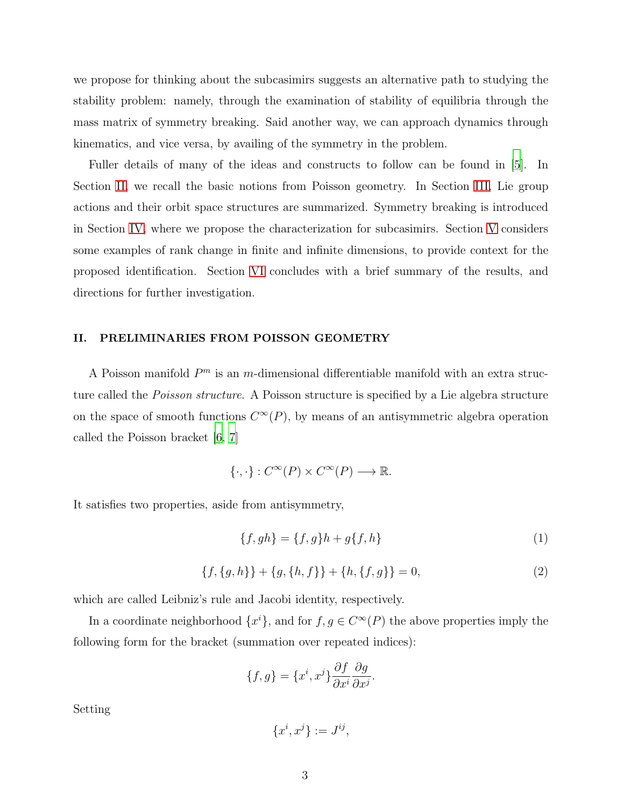we propose for thinking about the subcasimirs suggests an alternative path to studying the stability problem: namely, through the examination of stability of equilibria through the mass matrix of symmetry breaking. Said another way, we can approach dynamics through kinematics, and vice versa, by availing of the symmetry in the problem.

Fuller details of many of the ideas and constructs to follow can be found in [\[5\]](#page-28-3). In Section [II,](#page-2-0) we recall the basic notions from Poisson geometry. In Section [III,](#page-6-0) Lie group actions and their orbit space structures are summarized. Symmetry breaking is introduced in Section [IV,](#page-13-0) where we propose the characterization for subcasimirs. Section [V](#page-20-0) considers some examples of rank change in finite and infinite dimensions, to provide context for the proposed identification. Section [VI](#page-26-0) concludes with a brief summary of the results, and directions for further investigation.

# <span id="page-2-0"></span>II. PRELIMINARIES FROM POISSON GEOMETRY

A Poisson manifold  $P<sup>m</sup>$  is an m-dimensional differentiable manifold with an extra structure called the *Poisson structure*. A Poisson structure is specified by a Lie algebra structure on the space of smooth functions  $C^{\infty}(P)$ , by means of an antisymmetric algebra operation called the Poisson bracket [\[6,](#page-28-4) [7\]](#page-28-5)

$$
\{\cdot,\cdot\}:C^{\infty}(P)\times C^{\infty}(P)\longrightarrow\mathbb{R}.
$$

It satisfies two properties, aside from antisymmetry,

<span id="page-2-1"></span>
$$
\{f, gh\} = \{f, g\}h + g\{f, h\}
$$
 (1)

<span id="page-2-2"></span>
$$
\{f, \{g, h\}\} + \{g, \{h, f\}\} + \{h, \{f, g\}\} = 0,\tag{2}
$$

which are called Leibniz's rule and Jacobi identity, respectively.

In a coordinate neighborhood  $\{x^i\}$ , and for  $f, g \in C^{\infty}(P)$  the above properties imply the following form for the bracket (summation over repeated indices):

$$
\{f,g\} = \{x^i, x^j\} \frac{\partial f}{\partial x^i} \frac{\partial g}{\partial x^j}.
$$

Setting

$$
\{x^i, x^j\} := J^{ij},
$$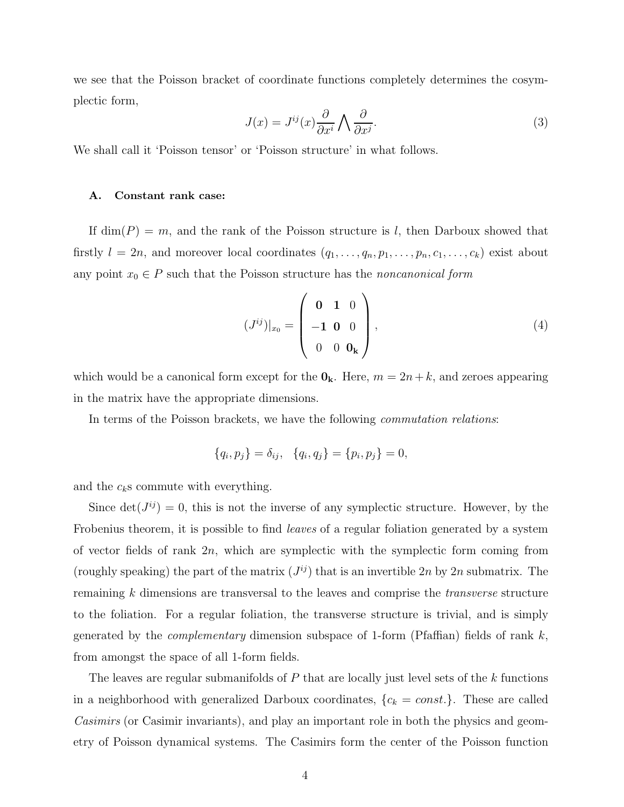we see that the Poisson bracket of coordinate functions completely determines the cosymplectic form,

$$
J(x) = J^{ij}(x)\frac{\partial}{\partial x^i} \bigwedge \frac{\partial}{\partial x^j}.
$$
\n(3)

We shall call it 'Poisson tensor' or 'Poisson structure' in what follows.

### A. Constant rank case:

If  $\dim(P) = m$ , and the rank of the Poisson structure is l, then Darboux showed that firstly  $l = 2n$ , and moreover local coordinates  $(q_1, \ldots, q_n, p_1, \ldots, p_n, c_1, \ldots, c_k)$  exist about any point  $x_0 \in P$  such that the Poisson structure has the noncanonical form

$$
(J^{ij})|_{x_0} = \begin{pmatrix} \mathbf{0} & \mathbf{1} & 0 \\ -\mathbf{1} & \mathbf{0} & 0 \\ 0 & 0 & \mathbf{0}_{\mathbf{k}} \end{pmatrix},
$$
 (4)

which would be a canonical form except for the  $\mathbf{0}_k$ . Here,  $m = 2n + k$ , and zeroes appearing in the matrix have the appropriate dimensions.

In terms of the Poisson brackets, we have the following commutation relations:

$$
\{q_i, p_j\} = \delta_{ij}, \quad \{q_i, q_j\} = \{p_i, p_j\} = 0,
$$

and the  $c_k$ s commute with everything.

Since  $\det(J^{ij}) = 0$ , this is not the inverse of any symplectic structure. However, by the Frobenius theorem, it is possible to find leaves of a regular foliation generated by a system of vector fields of rank  $2n$ , which are symplectic with the symplectic form coming from (roughly speaking) the part of the matrix  $(J^{ij})$  that is an invertible 2n by 2n submatrix. The remaining k dimensions are transversal to the leaves and comprise the transverse structure to the foliation. For a regular foliation, the transverse structure is trivial, and is simply generated by the *complementary* dimension subspace of 1-form (Pfaffian) fields of rank  $k$ , from amongst the space of all 1-form fields.

The leaves are regular submanifolds of  $P$  that are locally just level sets of the  $k$  functions in a neighborhood with generalized Darboux coordinates,  $\{c_k = const.\}$ . These are called Casimirs (or Casimir invariants), and play an important role in both the physics and geometry of Poisson dynamical systems. The Casimirs form the center of the Poisson function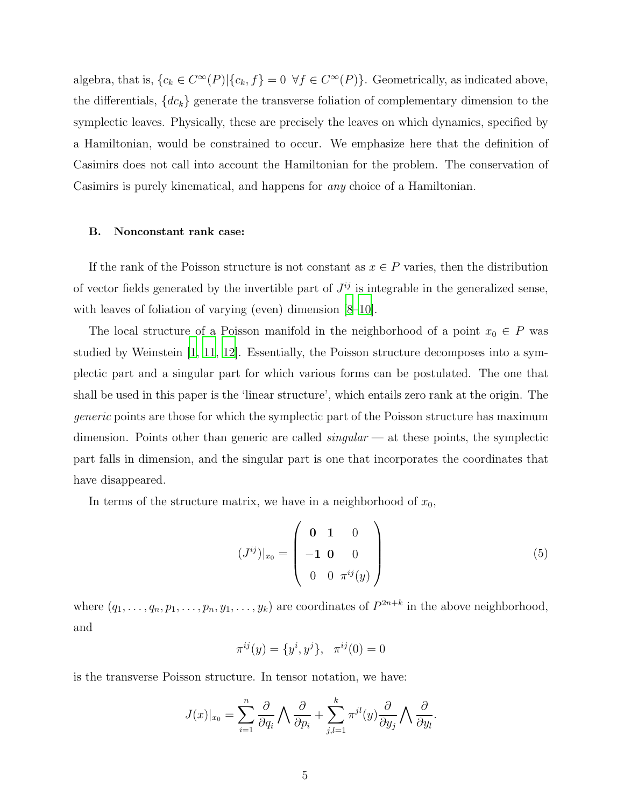algebra, that is,  $\{c_k \in C^{\infty}(P) | \{c_k, f\} = 0 \ \forall f \in C^{\infty}(P) \}.$  Geometrically, as indicated above, the differentials,  ${dc_k}$  generate the transverse foliation of complementary dimension to the symplectic leaves. Physically, these are precisely the leaves on which dynamics, specified by a Hamiltonian, would be constrained to occur. We emphasize here that the definition of Casimirs does not call into account the Hamiltonian for the problem. The conservation of Casimirs is purely kinematical, and happens for any choice of a Hamiltonian.

# <span id="page-4-0"></span>B. Nonconstant rank case:

If the rank of the Poisson structure is not constant as  $x \in P$  varies, then the distribution of vector fields generated by the invertible part of  $J^{ij}$  is integrable in the generalized sense, with leaves of foliation of varying (even) dimension [\[8](#page-28-6)[–10](#page-28-7)].

The local structure of a Poisson manifold in the neighborhood of a point  $x_0 \in P$  was studied by Weinstein [\[1,](#page-27-0) [11,](#page-28-8) [12\]](#page-28-9). Essentially, the Poisson structure decomposes into a symplectic part and a singular part for which various forms can be postulated. The one that shall be used in this paper is the 'linear structure', which entails zero rank at the origin. The generic points are those for which the symplectic part of the Poisson structure has maximum dimension. Points other than generic are called  $singular$  — at these points, the symplectic part falls in dimension, and the singular part is one that incorporates the coordinates that have disappeared.

In terms of the structure matrix, we have in a neighborhood of  $x_0$ ,

$$
(J^{ij})|_{x_0} = \begin{pmatrix} \mathbf{0} & \mathbf{1} & 0 \\ -\mathbf{1} & \mathbf{0} & 0 \\ 0 & 0 & \pi^{ij}(y) \end{pmatrix}
$$
 (5)

where  $(q_1, \ldots, q_n, p_1, \ldots, p_n, y_1, \ldots, y_k)$  are coordinates of  $P^{2n+k}$  in the above neighborhood, and

$$
\pi^{ij}(y) = \{y^i, y^j\}, \quad \pi^{ij}(0) = 0
$$

is the transverse Poisson structure. In tensor notation, we have:

$$
J(x)|_{x_0} = \sum_{i=1}^n \frac{\partial}{\partial q_i} \bigwedge \frac{\partial}{\partial p_i} + \sum_{j,l=1}^k \pi^{jl}(y) \frac{\partial}{\partial y_j} \bigwedge \frac{\partial}{\partial y_l}.
$$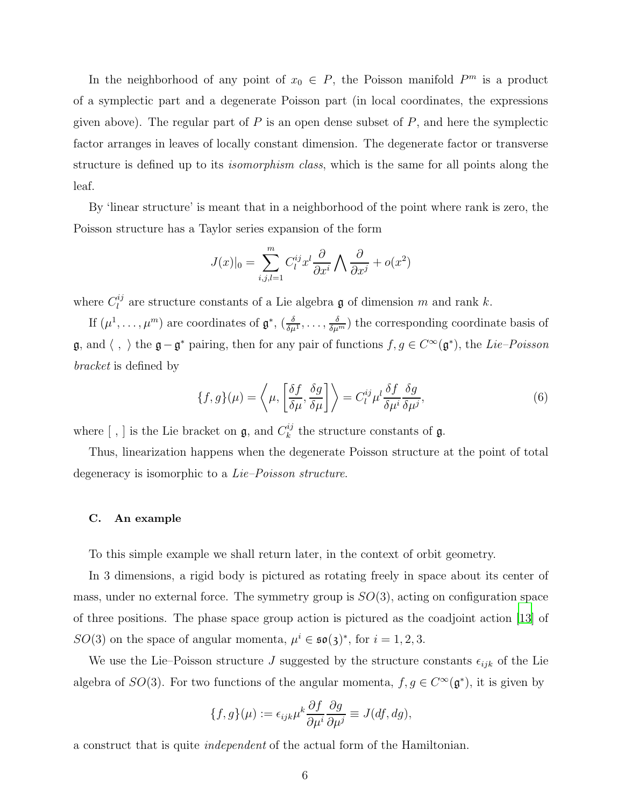In the neighborhood of any point of  $x_0 \in P$ , the Poisson manifold  $P^m$  is a product of a symplectic part and a degenerate Poisson part (in local coordinates, the expressions given above). The regular part of  $P$  is an open dense subset of  $P$ , and here the symplectic factor arranges in leaves of locally constant dimension. The degenerate factor or transverse structure is defined up to its *isomorphism class*, which is the same for all points along the leaf.

By 'linear structure' is meant that in a neighborhood of the point where rank is zero, the Poisson structure has a Taylor series expansion of the form

$$
J(x)|_0 = \sum_{i,j,l=1}^m C_l^{ij} x^l \frac{\partial}{\partial x^i} \bigwedge \frac{\partial}{\partial x^j} + o(x^2)
$$

where  $C_l^{ij}$  $\ell_l^{ij}$  are structure constants of a Lie algebra  $\mathfrak g$  of dimension m and rank k.

If  $(\mu^1, \ldots, \mu^m)$  are coordinates of  $\mathfrak{g}^*, (\frac{\delta}{\delta \mu^1}, \ldots, \frac{\delta}{\delta \mu^m})$  the corresponding coordinate basis of g, and  $\langle , \rangle$  the g−g<sup>\*</sup> pairing, then for any pair of functions  $f, g \in C^{\infty}(\mathfrak{g}^*)$ , the Lie–Poisson bracket is defined by

<span id="page-5-1"></span>
$$
\{f,g\}(\mu) = \left\langle \mu, \left[\frac{\delta f}{\delta \mu}, \frac{\delta g}{\delta \mu}\right] \right\rangle = C_l^{ij} \mu^l \frac{\delta f}{\delta \mu^i} \frac{\delta g}{\delta \mu^j},\tag{6}
$$

where  $[ , ]$  is the Lie bracket on **g**, and  $C_k^{ij}$  $\binom{n}{k}$  the structure constants of **g**.

Thus, linearization happens when the degenerate Poisson structure at the point of total degeneracy is isomorphic to a *Lie–Poisson structure*.

### <span id="page-5-0"></span>C. An example

To this simple example we shall return later, in the context of orbit geometry.

In 3 dimensions, a rigid body is pictured as rotating freely in space about its center of mass, under no external force. The symmetry group is  $SO(3)$ , acting on configuration space of three positions. The phase space group action is pictured as the coadjoint action [\[13\]](#page-28-10) of SO(3) on the space of angular momenta,  $\mu^{i} \in \mathfrak{so}(3)^{*}$ , for  $i = 1, 2, 3$ .

We use the Lie–Poisson structure J suggested by the structure constants  $\epsilon_{ijk}$  of the Lie algebra of  $SO(3)$ . For two functions of the angular momenta,  $f, g \in C^{\infty}(\mathfrak{g}^*)$ , it is given by

$$
\{f,g\}(\mu) := \epsilon_{ijk}\mu^k \frac{\partial f}{\partial \mu^i} \frac{\partial g}{\partial \mu^j} \equiv J(df,dg),
$$

a construct that is quite independent of the actual form of the Hamiltonian.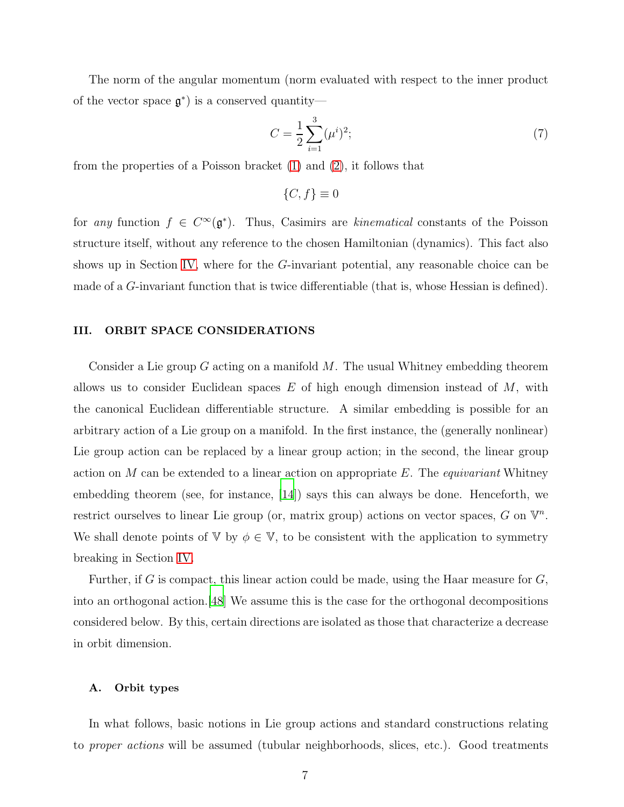The norm of the angular momentum (norm evaluated with respect to the inner product of the vector space  $\mathfrak{g}^*$ ) is a conserved quantity—

$$
C = \frac{1}{2} \sum_{i=1}^{3} (\mu^i)^2; \tag{7}
$$

from the properties of a Poisson bracket [\(1\)](#page-2-1) and [\(2\)](#page-2-2), it follows that

 ${C, f} \equiv 0$ 

for any function  $f \in C^{\infty}(\mathfrak{g}^*)$ . Thus, Casimirs are kinematical constants of the Poisson structure itself, without any reference to the chosen Hamiltonian (dynamics). This fact also shows up in Section [IV,](#page-13-0) where for the G-invariant potential, any reasonable choice can be made of a G-invariant function that is twice differentiable (that is, whose Hessian is defined).

### <span id="page-6-0"></span>III. ORBIT SPACE CONSIDERATIONS

Consider a Lie group  $G$  acting on a manifold  $M$ . The usual Whitney embedding theorem allows us to consider Euclidean spaces  $E$  of high enough dimension instead of  $M$ , with the canonical Euclidean differentiable structure. A similar embedding is possible for an arbitrary action of a Lie group on a manifold. In the first instance, the (generally nonlinear) Lie group action can be replaced by a linear group action; in the second, the linear group action on M can be extended to a linear action on appropriate E. The *equivariant* Whitney embedding theorem (see, for instance, [\[14](#page-28-11)]) says this can always be done. Henceforth, we restrict ourselves to linear Lie group (or, matrix group) actions on vector spaces, G on  $\mathbb{V}^n$ . We shall denote points of V by  $\phi \in V$ , to be consistent with the application to symmetry breaking in Section [IV.](#page-13-0)

Further, if G is compact, this linear action could be made, using the Haar measure for  $G$ , into an orthogonal action.[\[48](#page-30-0)] We assume this is the case for the orthogonal decompositions considered below. By this, certain directions are isolated as those that characterize a decrease in orbit dimension.

#### <span id="page-6-1"></span>A. Orbit types

In what follows, basic notions in Lie group actions and standard constructions relating to proper actions will be assumed (tubular neighborhoods, slices, etc.). Good treatments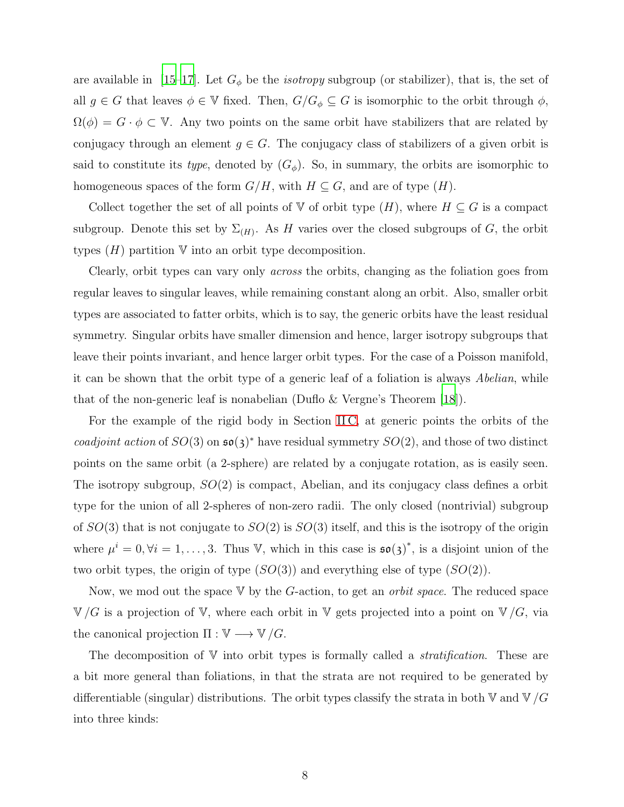are available in [\[15](#page-28-12)[–17\]](#page-28-13). Let  $G_{\phi}$  be the *isotropy* subgroup (or stabilizer), that is, the set of all  $g \in G$  that leaves  $\phi \in V$  fixed. Then,  $G/G_{\phi} \subseteq G$  is isomorphic to the orbit through  $\phi$ ,  $\Omega(\phi) = G \cdot \phi \subset V$ . Any two points on the same orbit have stabilizers that are related by conjugacy through an element  $g \in G$ . The conjugacy class of stabilizers of a given orbit is said to constitute its type, denoted by  $(G_{\phi})$ . So, in summary, the orbits are isomorphic to homogeneous spaces of the form  $G/H$ , with  $H \subseteq G$ , and are of type  $(H)$ .

Collect together the set of all points of V of orbit type  $(H)$ , where  $H \subseteq G$  is a compact subgroup. Denote this set by  $\Sigma_{(H)}$ . As H varies over the closed subgroups of G, the orbit types  $(H)$  partition  $\nabla$  into an orbit type decomposition.

Clearly, orbit types can vary only across the orbits, changing as the foliation goes from regular leaves to singular leaves, while remaining constant along an orbit. Also, smaller orbit types are associated to fatter orbits, which is to say, the generic orbits have the least residual symmetry. Singular orbits have smaller dimension and hence, larger isotropy subgroups that leave their points invariant, and hence larger orbit types. For the case of a Poisson manifold, it can be shown that the orbit type of a generic leaf of a foliation is always Abelian, while that of the non-generic leaf is nonabelian (Duflo & Vergne's Theorem [\[18\]](#page-29-0)).

For the example of the rigid body in Section [II C,](#page-5-0) at generic points the orbits of the coadjoint action of  $SO(3)$  on  $\mathfrak{so}(3)^*$  have residual symmetry  $SO(2)$ , and those of two distinct points on the same orbit (a 2-sphere) are related by a conjugate rotation, as is easily seen. The isotropy subgroup,  $SO(2)$  is compact, Abelian, and its conjugacy class defines a orbit type for the union of all 2-spheres of non-zero radii. The only closed (nontrivial) subgroup of  $SO(3)$  that is not conjugate to  $SO(2)$  is  $SO(3)$  itself, and this is the isotropy of the origin where  $\mu^{i} = 0, \forall i = 1, \ldots, 3$ . Thus V, which in this case is  $\mathfrak{so}(3)^{*}$ , is a disjoint union of the two orbit types, the origin of type  $(SO(3))$  and everything else of type  $(SO(2))$ .

Now, we mod out the space  $V$  by the G-action, to get an *orbit space*. The reduced space  $\mathbb{V}/G$  is a projection of V, where each orbit in V gets projected into a point on  $\mathbb{V}/G$ , via the canonical projection  $\Pi : \mathbb{V} \longrightarrow \mathbb{V}/G$ .

The decomposition of  $V$  into orbit types is formally called a *stratification*. These are a bit more general than foliations, in that the strata are not required to be generated by differentiable (singular) distributions. The orbit types classify the strata in both  $\nabla$  and  $\nabla/G$ into three kinds: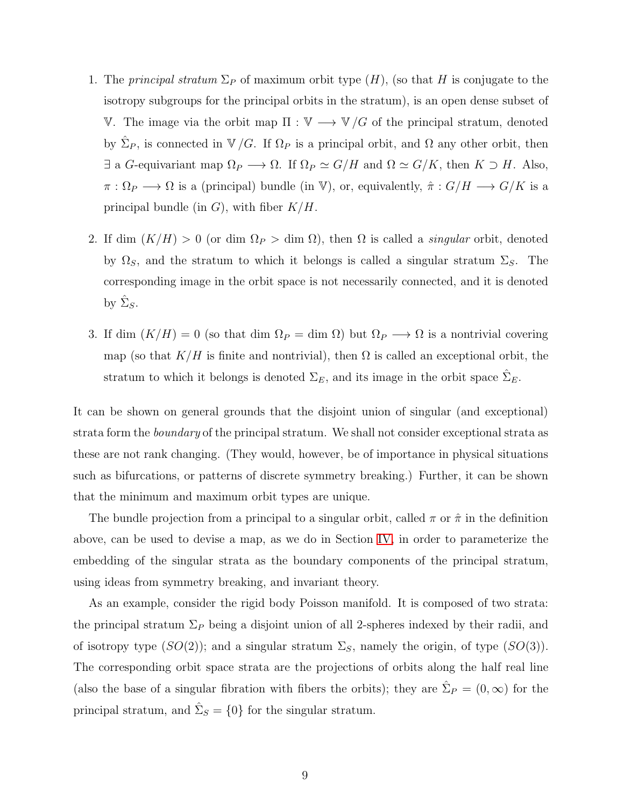- 1. The *principal stratum*  $\Sigma_P$  of maximum orbit type  $(H)$ , (so that H is conjugate to the isotropy subgroups for the principal orbits in the stratum), is an open dense subset of V. The image via the orbit map Π :  $V$  →  $V/G$  of the principal stratum, denoted by  $\hat{\Sigma}_P$ , is connected in  $\mathbb{V}/G$ . If  $\Omega_P$  is a principal orbit, and  $\Omega$  any other orbit, then  $\exists$  a G-equivariant map  $\Omega_P \longrightarrow \Omega$ . If  $\Omega_P \simeq G/H$  and  $\Omega \simeq G/K$ , then  $K \supset H$ . Also,  $\pi : \Omega_P \longrightarrow \Omega$  is a (principal) bundle (in V), or, equivalently,  $\hat{\pi} : G/H \longrightarrow G/K$  is a principal bundle (in  $G$ ), with fiber  $K/H$ .
- 2. If dim  $(K/H) > 0$  (or dim  $\Omega_P >$  dim  $\Omega$ ), then  $\Omega$  is called a *singular* orbit, denoted by  $\Omega_S$ , and the stratum to which it belongs is called a singular stratum  $\Sigma_S$ . The corresponding image in the orbit space is not necessarily connected, and it is denoted by  $\hat{\Sigma}_S$ .
- 3. If dim  $(K/H) = 0$  (so that dim  $\Omega_P = \dim \Omega$ ) but  $\Omega_P \longrightarrow \Omega$  is a nontrivial covering map (so that  $K/H$  is finite and nontrivial), then  $\Omega$  is called an exceptional orbit, the stratum to which it belongs is denoted  $\Sigma_E$ , and its image in the orbit space  $\hat{\Sigma}_E$ .

It can be shown on general grounds that the disjoint union of singular (and exceptional) strata form the *boundary* of the principal stratum. We shall not consider exceptional strata as these are not rank changing. (They would, however, be of importance in physical situations such as bifurcations, or patterns of discrete symmetry breaking.) Further, it can be shown that the minimum and maximum orbit types are unique.

The bundle projection from a principal to a singular orbit, called  $\pi$  or  $\hat{\pi}$  in the definition above, can be used to devise a map, as we do in Section [IV,](#page-13-0) in order to parameterize the embedding of the singular strata as the boundary components of the principal stratum, using ideas from symmetry breaking, and invariant theory.

As an example, consider the rigid body Poisson manifold. It is composed of two strata: the principal stratum  $\Sigma_P$  being a disjoint union of all 2-spheres indexed by their radii, and of isotropy type  $(SO(2))$ ; and a singular stratum  $\Sigma<sub>S</sub>$ , namely the origin, of type  $(SO(3))$ . The corresponding orbit space strata are the projections of orbits along the half real line (also the base of a singular fibration with fibers the orbits); they are  $\hat{\Sigma}_P = (0, \infty)$  for the principal stratum, and  $\hat{\Sigma}_S = \{0\}$  for the singular stratum.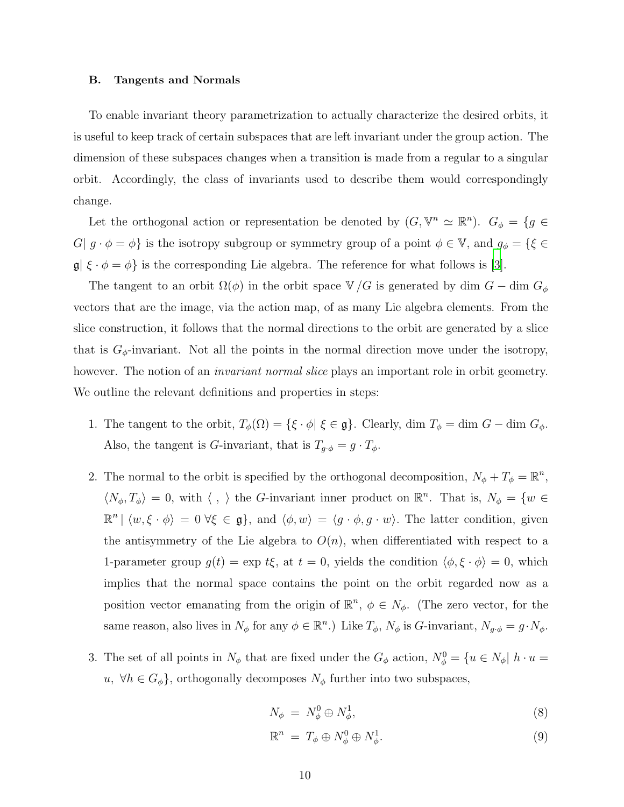#### <span id="page-9-0"></span>B. Tangents and Normals

To enable invariant theory parametrization to actually characterize the desired orbits, it is useful to keep track of certain subspaces that are left invariant under the group action. The dimension of these subspaces changes when a transition is made from a regular to a singular orbit. Accordingly, the class of invariants used to describe them would correspondingly change.

Let the orthogonal action or representation be denoted by  $(G, \mathbb{V}^n \simeq \mathbb{R}^n)$ .  $G_{\phi} = \{g \in$ G|  $g \cdot \phi = \phi$ } is the isotropy subgroup or symmetry group of a point  $\phi \in \mathbb{V}$ , and  $g_{\phi} = \{\xi \in$  $\mathfrak{g} | \xi \cdot \phi = \phi$ } is the corresponding Lie algebra. The reference for what follows is [\[3\]](#page-28-1).

The tangent to an orbit  $\Omega(\phi)$  in the orbit space  $\mathbb{V}/G$  is generated by dim  $G$  – dim  $G_{\phi}$ vectors that are the image, via the action map, of as many Lie algebra elements. From the slice construction, it follows that the normal directions to the orbit are generated by a slice that is  $G_{\phi}$ -invariant. Not all the points in the normal direction move under the isotropy, however. The notion of an *invariant normal slice* plays an important role in orbit geometry. We outline the relevant definitions and properties in steps:

- 1. The tangent to the orbit,  $T_{\phi}(\Omega) = \{\xi \cdot \phi | \xi \in \mathfrak{g}\}\)$ . Clearly, dim  $T_{\phi} = \dim G \dim G_{\phi}$ . Also, the tangent is *G*-invariant, that is  $T_{g \cdot \phi} = g \cdot T_{\phi}$ .
- 2. The normal to the orbit is specified by the orthogonal decomposition,  $N_{\phi} + T_{\phi} = \mathbb{R}^n$ ,  $\langle N_\phi, T_\phi \rangle = 0$ , with  $\langle , \rangle$  the G-invariant inner product on  $\mathbb{R}^n$ . That is,  $N_\phi = \{w \in$  $\mathbb{R}^n \mid \langle w, \xi \cdot \phi \rangle = 0 \ \forall \xi \in \mathfrak{g} \},$  and  $\langle \phi, w \rangle = \langle g \cdot \phi, g \cdot w \rangle$ . The latter condition, given the antisymmetry of the Lie algebra to  $O(n)$ , when differentiated with respect to a 1-parameter group  $g(t) = \exp t\xi$ , at  $t = 0$ , yields the condition  $\langle \phi, \xi \cdot \phi \rangle = 0$ , which implies that the normal space contains the point on the orbit regarded now as a position vector emanating from the origin of  $\mathbb{R}^n$ ,  $\phi \in N_{\phi}$ . (The zero vector, for the same reason, also lives in  $N_{\phi}$  for any  $\phi \in \mathbb{R}^{n}$ .) Like  $T_{\phi}$ ,  $N_{\phi}$  is *G*-invariant,  $N_{g \cdot \phi} = g \cdot N_{\phi}$ .
- 3. The set of all points in  $N_{\phi}$  that are fixed under the  $G_{\phi}$  action,  $N_{\phi}^{0} = \{u \in N_{\phi} | h \cdot u =$  $u, \forall h \in G_{\phi}$ , orthogonally decomposes  $N_{\phi}$  further into two subspaces,

<span id="page-9-1"></span>
$$
N_{\phi} = N_{\phi}^0 \oplus N_{\phi}^1,\tag{8}
$$

$$
\mathbb{R}^n = T_\phi \oplus N_\phi^0 \oplus N_\phi^1. \tag{9}
$$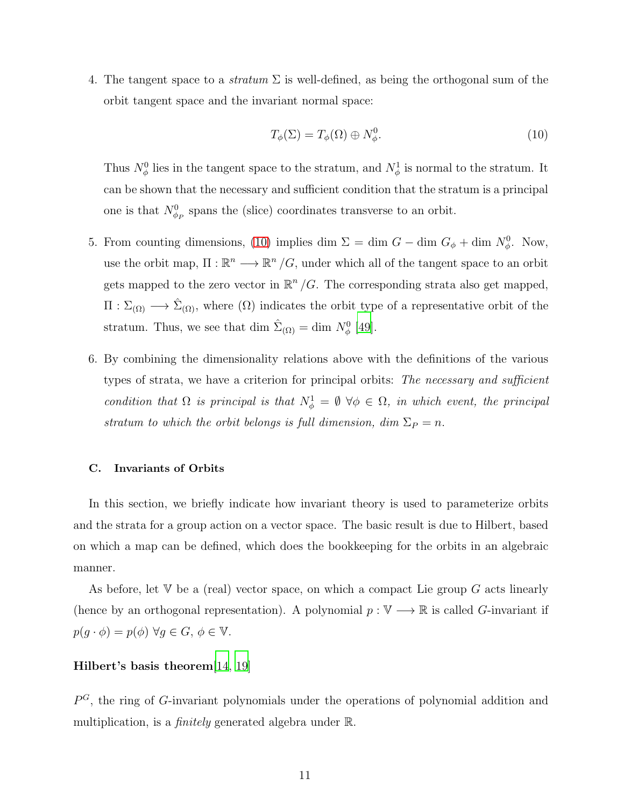4. The tangent space to a *stratum*  $\Sigma$  is well-defined, as being the orthogonal sum of the orbit tangent space and the invariant normal space:

<span id="page-10-0"></span>
$$
T_{\phi}(\Sigma) = T_{\phi}(\Omega) \oplus N_{\phi}^{0}.
$$
\n(10)

Thus  $N^0_\phi$  lies in the tangent space to the stratum, and  $N^1_\phi$  is normal to the stratum. It can be shown that the necessary and sufficient condition that the stratum is a principal one is that  $N^0_{\phi_P}$  spans the (slice) coordinates transverse to an orbit.

- 5. From counting dimensions, [\(10\)](#page-10-0) implies dim  $\Sigma = \dim G \dim G_{\phi} + \dim N_{\phi}^0$ . Now, use the orbit map,  $\Pi : \mathbb{R}^n \longrightarrow \mathbb{R}^n / G$ , under which all of the tangent space to an orbit gets mapped to the zero vector in  $\mathbb{R}^n/G$ . The corresponding strata also get mapped,  $\Pi: \Sigma_{(\Omega)} \longrightarrow \hat{\Sigma}_{(\Omega)}$ , where  $(\Omega)$  indicates the orbit type of a representative orbit of the stratum. Thus, we see that dim  $\hat{\Sigma}_{(\Omega)} = \text{dim } N_{\phi}^0$  [\[49\]](#page-30-1).
- 6. By combining the dimensionality relations above with the definitions of the various types of strata, we have a criterion for principal orbits: The necessary and sufficient condition that  $\Omega$  is principal is that  $N^1_\phi = \emptyset \ \forall \phi \in \Omega$ , in which event, the principal stratum to which the orbit belongs is full dimension, dim  $\Sigma_P = n$ .

### <span id="page-10-1"></span>C. Invariants of Orbits

In this section, we briefly indicate how invariant theory is used to parameterize orbits and the strata for a group action on a vector space. The basic result is due to Hilbert, based on which a map can be defined, which does the bookkeeping for the orbits in an algebraic manner.

As before, let  $V$  be a (real) vector space, on which a compact Lie group  $G$  acts linearly (hence by an orthogonal representation). A polynomial  $p : \mathbb{V} \longrightarrow \mathbb{R}$  is called G-invariant if  $p(g \cdot \phi) = p(\phi) \,\forall g \in G, \, \phi \in \mathbb{V}.$ 

# Hilbert's basis theorem[\[14](#page-28-11), [19](#page-29-1)]

 $P^G$ , the ring of G-invariant polynomials under the operations of polynomial addition and multiplication, is a *finitely* generated algebra under  $\mathbb{R}$ .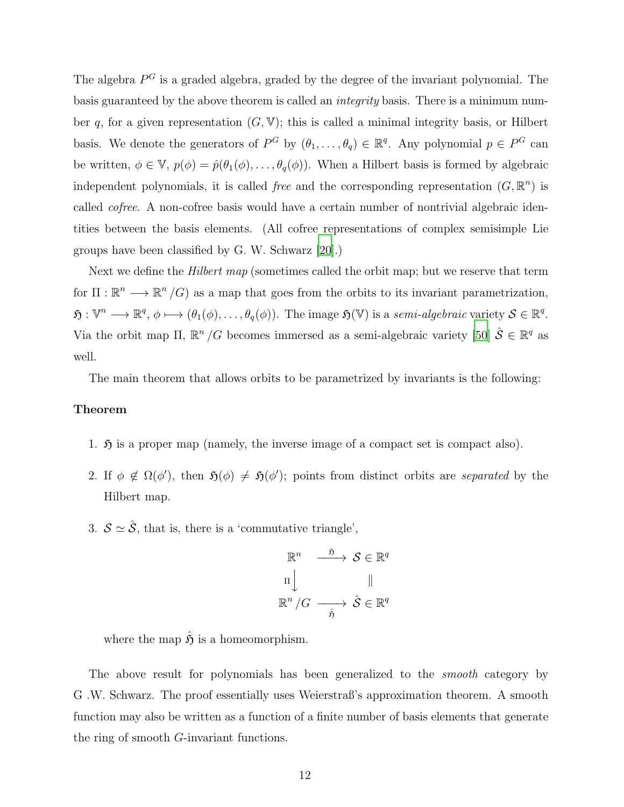The algebra  $P^G$  is a graded algebra, graded by the degree of the invariant polynomial. The basis guaranteed by the above theorem is called an integrity basis. There is a minimum number q, for a given representation  $(G, V)$ ; this is called a minimal integrity basis, or Hilbert basis. We denote the generators of  $P^G$  by  $(\theta_1,\ldots,\theta_q) \in \mathbb{R}^q$ . Any polynomial  $p \in P^G$  can be written,  $\phi \in \mathbb{V}$ ,  $p(\phi) = \hat{p}(\theta_1(\phi), \dots, \theta_q(\phi))$ . When a Hilbert basis is formed by algebraic independent polynomials, it is called *free* and the corresponding representation  $(G, \mathbb{R}^n)$  is called cofree. A non-cofree basis would have a certain number of nontrivial algebraic identities between the basis elements. (All cofree representations of complex semisimple Lie groups have been classified by G. W. Schwarz [\[20](#page-29-2)].)

Next we define the *Hilbert map* (sometimes called the orbit map; but we reserve that term for  $\Pi : \mathbb{R}^n \longrightarrow \mathbb{R}^n / G$  as a map that goes from the orbits to its invariant parametrization,  $\mathfrak{H}: \mathbb{V}^n \longrightarrow \mathbb{R}^q, \phi \longmapsto (\theta_1(\phi), \dots, \theta_q(\phi)).$  The image  $\mathfrak{H}(\mathbb{V})$  is a semi-algebraic variety  $\mathcal{S} \in \mathbb{R}^q$ . Via the orbit map  $\Pi$ ,  $\mathbb{R}^n/G$  becomes immersed as a semi-algebraic variety [\[50](#page-31-0)]  $\hat{\mathcal{S}} \in \mathbb{R}^q$  as well.

The main theorem that allows orbits to be parametrized by invariants is the following:

# Theorem

- 1.  $\mathfrak H$  is a proper map (namely, the inverse image of a compact set is compact also).
- 2. If  $\phi \notin \Omega(\phi')$ , then  $\mathfrak{H}(\phi) \neq \mathfrak{H}(\phi')$ ; points from distinct orbits are separated by the Hilbert map.
- 3.  $S \simeq \hat{S}$ , that is, there is a 'commutative triangle',

$$
\mathbb{R}^{n} \xrightarrow{\quad \mathfrak{H} \quad} \mathcal{S} \in \mathbb{R}^{q}
$$

$$
\Pi \downarrow \qquad \qquad \parallel
$$

$$
\mathbb{R}^{n} / G \xrightarrow{\quad \hat{S} \quad} \hat{\mathcal{S}} \in \mathbb{R}^{q}
$$

where the map  $\hat{\mathfrak{H}}$  is a homeomorphism.

The above result for polynomials has been generalized to the *smooth* category by G .W. Schwarz. The proof essentially uses Weierstraß's approximation theorem. A smooth function may also be written as a function of a finite number of basis elements that generate the ring of smooth G-invariant functions.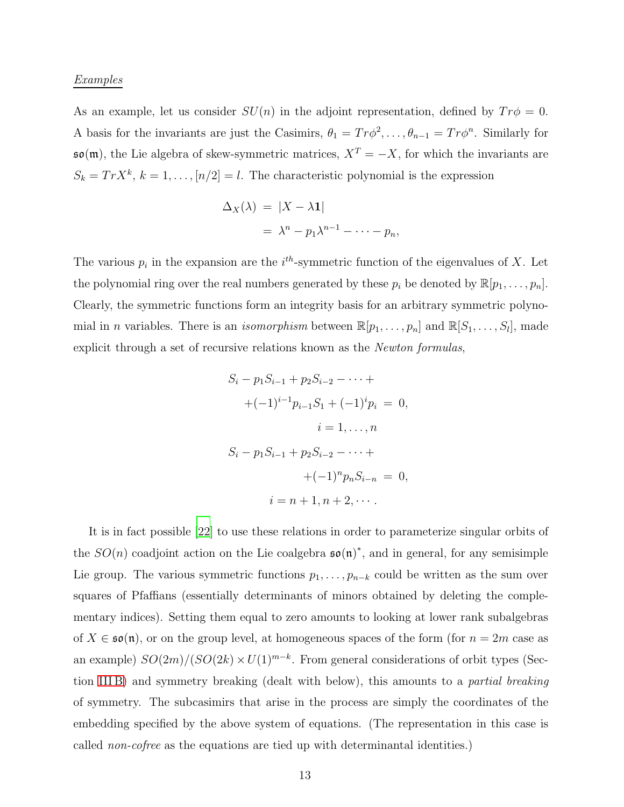# Examples

As an example, let us consider  $SU(n)$  in the adjoint representation, defined by  $Tr \phi = 0$ . A basis for the invariants are just the Casimirs,  $\theta_1 = Tr \phi^2, \dots, \theta_{n-1} = Tr \phi^n$ . Similarly for  $\mathfrak{so}(\mathfrak{m})$ , the Lie algebra of skew-symmetric matrices,  $X^T = -X$ , for which the invariants are  $S_k = Tr X^k$ ,  $k = 1, ..., [n/2] = l$ . The characteristic polynomial is the expression

$$
\Delta_X(\lambda) = |X - \lambda \mathbf{1}|
$$
  
=  $\lambda^n - p_1 \lambda^{n-1} - \dots - p_n$ ,

The various  $p_i$  in the expansion are the  $i^{th}$ -symmetric function of the eigenvalues of X. Let the polynomial ring over the real numbers generated by these  $p_i$  be denoted by  $\mathbb{R}[p_1, \ldots, p_n]$ . Clearly, the symmetric functions form an integrity basis for an arbitrary symmetric polynomial in *n* variables. There is an *isomorphism* between  $\mathbb{R}[p_1, \ldots, p_n]$  and  $\mathbb{R}[S_1, \ldots, S_l]$ , made explicit through a set of recursive relations known as the Newton formulas,

$$
S_i - p_1 S_{i-1} + p_2 S_{i-2} - \dots +
$$
  
+  $(-1)^{i-1} p_{i-1} S_1 + (-1)^i p_i = 0,$   
 $i = 1, \dots, n$   

$$
S_i - p_1 S_{i-1} + p_2 S_{i-2} - \dots +
$$
  
+  $(-1)^n p_n S_{i-n} = 0,$   
 $i = n + 1, n + 2, \dots$ 

It is in fact possible [\[22](#page-29-3)] to use these relations in order to parameterize singular orbits of the  $SO(n)$  coadjoint action on the Lie coalgebra  $\mathfrak{so}(n)^*$ , and in general, for any semisimple Lie group. The various symmetric functions  $p_1, \ldots, p_{n-k}$  could be written as the sum over squares of Pfaffians (essentially determinants of minors obtained by deleting the complementary indices). Setting them equal to zero amounts to looking at lower rank subalgebras of  $X \in \mathfrak{so}(\mathfrak{n})$ , or on the group level, at homogeneous spaces of the form (for  $n = 2m$  case as an example)  $SO(2m)/(SO(2k) \times U(1)^{m-k}$ . From general considerations of orbit types (Sec-tion [III B\)](#page-9-0) and symmetry breaking (dealt with below), this amounts to a *partial breaking* of symmetry. The subcasimirs that arise in the process are simply the coordinates of the embedding specified by the above system of equations. (The representation in this case is called non-cofree as the equations are tied up with determinantal identities.)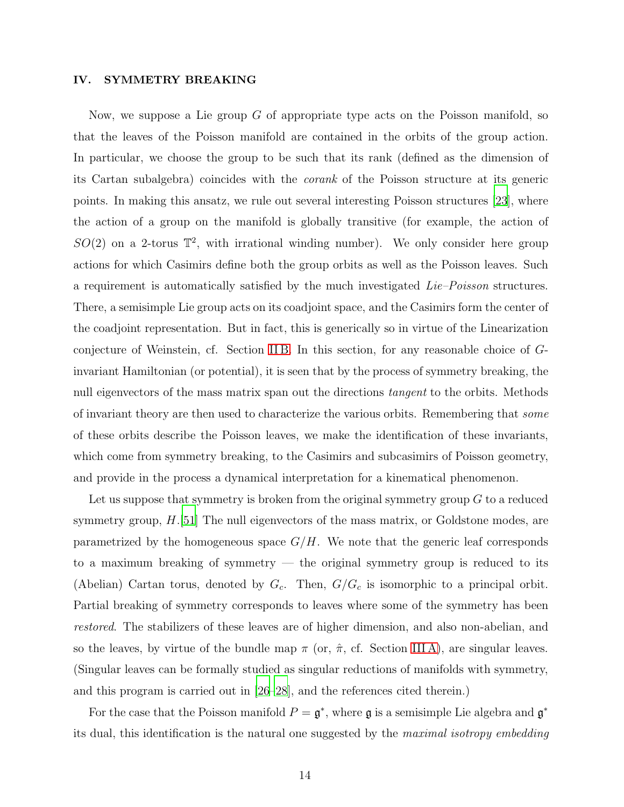# <span id="page-13-0"></span>IV. SYMMETRY BREAKING

Now, we suppose a Lie group  $G$  of appropriate type acts on the Poisson manifold, so that the leaves of the Poisson manifold are contained in the orbits of the group action. In particular, we choose the group to be such that its rank (defined as the dimension of its Cartan subalgebra) coincides with the corank of the Poisson structure at its generic points. In making this ansatz, we rule out several interesting Poisson structures [\[23](#page-29-4)], where the action of a group on the manifold is globally transitive (for example, the action of  $SO(2)$  on a 2-torus  $\mathbb{T}^2$ , with irrational winding number). We only consider here group actions for which Casimirs define both the group orbits as well as the Poisson leaves. Such a requirement is automatically satisfied by the much investigated  $Lie-Poisson$  structures. There, a semisimple Lie group acts on its coadjoint space, and the Casimirs form the center of the coadjoint representation. But in fact, this is generically so in virtue of the Linearization conjecture of Weinstein, cf. Section [II B.](#page-4-0) In this section, for any reasonable choice of Ginvariant Hamiltonian (or potential), it is seen that by the process of symmetry breaking, the null eigenvectors of the mass matrix span out the directions *tangent* to the orbits. Methods of invariant theory are then used to characterize the various orbits. Remembering that some of these orbits describe the Poisson leaves, we make the identification of these invariants, which come from symmetry breaking, to the Casimirs and subcasimirs of Poisson geometry, and provide in the process a dynamical interpretation for a kinematical phenomenon.

Let us suppose that symmetry is broken from the original symmetry group  $G$  to a reduced symmetry group,  $H$ .[\[51\]](#page-31-1) The null eigenvectors of the mass matrix, or Goldstone modes, are parametrized by the homogeneous space  $G/H$ . We note that the generic leaf corresponds to a maximum breaking of symmetry — the original symmetry group is reduced to its (Abelian) Cartan torus, denoted by  $G_c$ . Then,  $G/G_c$  is isomorphic to a principal orbit. Partial breaking of symmetry corresponds to leaves where some of the symmetry has been restored. The stabilizers of these leaves are of higher dimension, and also non-abelian, and so the leaves, by virtue of the bundle map  $\pi$  (or,  $\hat{\pi}$ , cf. Section IIIA), are singular leaves. (Singular leaves can be formally studied as singular reductions of manifolds with symmetry, and this program is carried out in [\[26](#page-29-5)[–28](#page-29-6)], and the references cited therein.)

For the case that the Poisson manifold  $P = \mathfrak{g}^*$ , where  $\mathfrak{g}$  is a semisimple Lie algebra and  $\mathfrak{g}^*$ its dual, this identification is the natural one suggested by the maximal isotropy embedding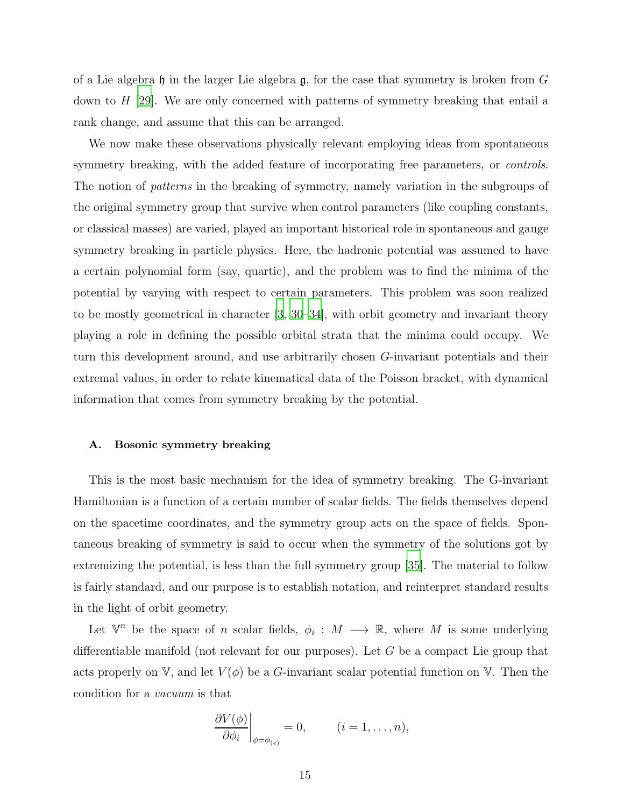of a Lie algebra h in the larger Lie algebra  $\mathfrak{g}$ , for the case that symmetry is broken from G down to  $H$  [\[29](#page-29-7)]. We are only concerned with patterns of symmetry breaking that entail a rank change, and assume that this can be arranged.

We now make these observations physically relevant employing ideas from spontaneous symmetry breaking, with the added feature of incorporating free parameters, or *controls*. The notion of patterns in the breaking of symmetry, namely variation in the subgroups of the original symmetry group that survive when control parameters (like coupling constants, or classical masses) are varied, played an important historical role in spontaneous and gauge symmetry breaking in particle physics. Here, the hadronic potential was assumed to have a certain polynomial form (say, quartic), and the problem was to find the minima of the potential by varying with respect to certain parameters. This problem was soon realized to be mostly geometrical in character [\[3](#page-28-1), [30](#page-29-8)[–34](#page-29-9)], with orbit geometry and invariant theory playing a role in defining the possible orbital strata that the minima could occupy. We turn this development around, and use arbitrarily chosen G-invariant potentials and their extremal values, in order to relate kinematical data of the Poisson bracket, with dynamical information that comes from symmetry breaking by the potential.

### A. Bosonic symmetry breaking

This is the most basic mechanism for the idea of symmetry breaking. The G-invariant Hamiltonian is a function of a certain number of scalar fields. The fields themselves depend on the spacetime coordinates, and the symmetry group acts on the space of fields. Spontaneous breaking of symmetry is said to occur when the symmetry of the solutions got by extremizing the potential, is less than the full symmetry group [\[35](#page-30-2)]. The material to follow is fairly standard, and our purpose is to establish notation, and reinterpret standard results in the light of orbit geometry.

Let  $\mathbb{V}^n$  be the space of *n* scalar fields,  $\phi_i : M \longrightarrow \mathbb{R}$ , where *M* is some underlying differentiable manifold (not relevant for our purposes). Let G be a compact Lie group that acts properly on V, and let  $V(\phi)$  be a G-invariant scalar potential function on V. Then the condition for a vacuum is that

$$
\left. \frac{\partial V(\phi)}{\partial \phi_i} \right|_{\phi = \phi_{(e)}} = 0, \qquad (i = 1, \dots, n),
$$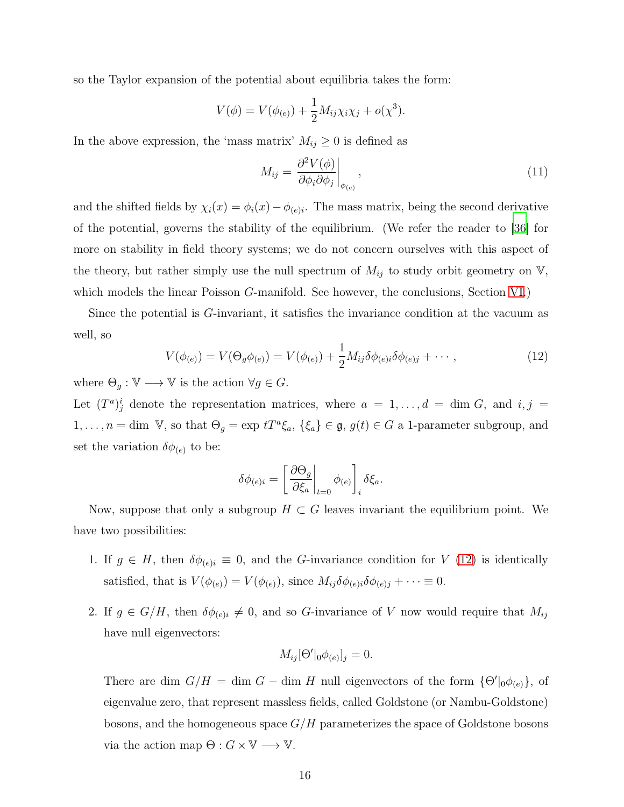so the Taylor expansion of the potential about equilibria takes the form:

$$
V(\phi) = V(\phi_{(e)}) + \frac{1}{2} M_{ij} \chi_i \chi_j + o(\chi^3).
$$

In the above expression, the 'mass matrix'  $M_{ij} \geq 0$  is defined as

<span id="page-15-1"></span>
$$
M_{ij} = \left. \frac{\partial^2 V(\phi)}{\partial \phi_i \partial \phi_j} \right|_{\phi_{(e)}},\tag{11}
$$

and the shifted fields by  $\chi_i(x) = \phi_i(x) - \phi_{(e)i}$ . The mass matrix, being the second derivative of the potential, governs the stability of the equilibrium. (We refer the reader to [\[36](#page-30-3)] for more on stability in field theory systems; we do not concern ourselves with this aspect of the theory, but rather simply use the null spectrum of  $M_{ij}$  to study orbit geometry on  $V$ , which models the linear Poisson G-manifold. See however, the conclusions, Section [VI.](#page-26-0))

Since the potential is G-invariant, it satisfies the invariance condition at the vacuum as well, so

<span id="page-15-0"></span>
$$
V(\phi_{(e)}) = V(\Theta_g \phi_{(e)}) = V(\phi_{(e)}) + \frac{1}{2} M_{ij} \delta \phi_{(e)i} \delta \phi_{(e)j} + \cdots,
$$
\n(12)

where  $\Theta_g : \mathbb{V} \longrightarrow \mathbb{V}$  is the action  $\forall g \in G$ .

Let  $(T^a)^i_j$  denote the representation matrices, where  $a = 1, \ldots, d = \dim G$ , and  $i, j =$  $1, \ldots, n = \text{dim } V$ , so that  $\Theta_g = \exp tT^a \xi_a$ ,  $\{\xi_a\} \in \mathfrak{g}$ ,  $g(t) \in G$  a 1-parameter subgroup, and set the variation  $\delta\phi_{(e)}$  to be:

$$
\delta \phi_{(e)i} = \left[ \left. \frac{\partial \Theta_g}{\partial \xi_a} \right|_{t=0} \phi_{(e)} \right]_i \delta \xi_a.
$$

Now, suppose that only a subgroup  $H \subset G$  leaves invariant the equilibrium point. We have two possibilities:

- 1. If  $g \in H$ , then  $\delta \phi_{(e)i} \equiv 0$ , and the G-invariance condition for V [\(12\)](#page-15-0) is identically satisfied, that is  $V(\phi_{(e)}) = V(\phi_{(e)})$ , since  $M_{ij}\delta\phi_{(e)i}\delta\phi_{(e)j} + \cdots \equiv 0$ .
- 2. If  $g \in G/H$ , then  $\delta \phi_{(e)i} \neq 0$ , and so G-invariance of V now would require that  $M_{ij}$ have null eigenvectors:

$$
M_{ij}[\Theta'|_0 \phi_{(e)}]_j = 0.
$$

There are dim  $G/H = \dim G - \dim H$  null eigenvectors of the form  $\{\Theta' |_{0}\phi_{(e)}\}$ , of eigenvalue zero, that represent massless fields, called Goldstone (or Nambu-Goldstone) bosons, and the homogeneous space  $G/H$  parameterizes the space of Goldstone bosons via the action map  $\Theta: G \times V \longrightarrow V$ .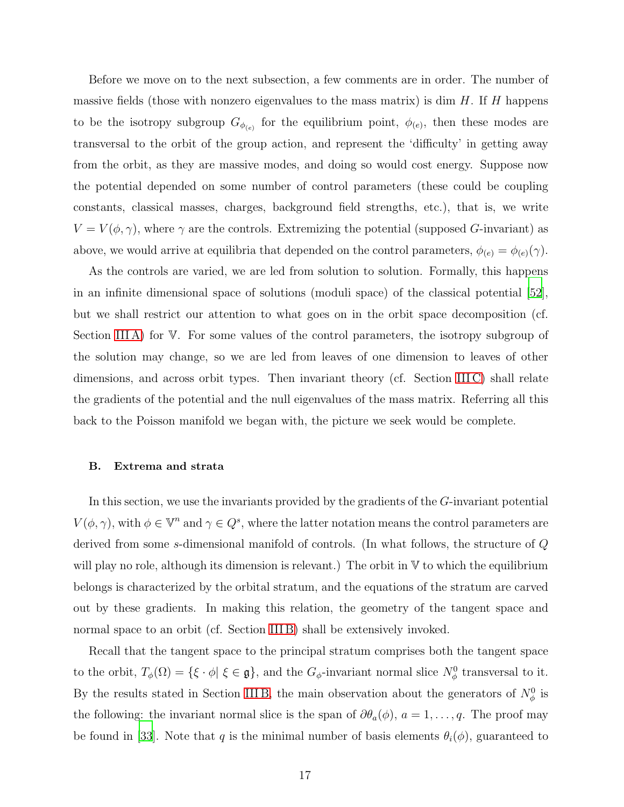Before we move on to the next subsection, a few comments are in order. The number of massive fields (those with nonzero eigenvalues to the mass matrix) is dim  $H$ . If  $H$  happens to be the isotropy subgroup  $G_{\phi_{(e)}}$  for the equilibrium point,  $\phi_{(e)}$ , then these modes are transversal to the orbit of the group action, and represent the 'difficulty' in getting away from the orbit, as they are massive modes, and doing so would cost energy. Suppose now the potential depended on some number of control parameters (these could be coupling constants, classical masses, charges, background field strengths, etc.), that is, we write  $V = V(\phi, \gamma)$ , where  $\gamma$  are the controls. Extremizing the potential (supposed G-invariant) as above, we would arrive at equilibria that depended on the control parameters,  $\phi_{(e)} = \phi_{(e)}(\gamma)$ .

As the controls are varied, we are led from solution to solution. Formally, this happens in an infinite dimensional space of solutions (moduli space) of the classical potential [\[52\]](#page-31-2), but we shall restrict our attention to what goes on in the orbit space decomposition (cf. Section [III A\)](#page-6-1) for V. For some values of the control parameters, the isotropy subgroup of the solution may change, so we are led from leaves of one dimension to leaves of other dimensions, and across orbit types. Then invariant theory (cf. Section IIIC) shall relate the gradients of the potential and the null eigenvalues of the mass matrix. Referring all this back to the Poisson manifold we began with, the picture we seek would be complete.

# B. Extrema and strata

In this section, we use the invariants provided by the gradients of the G-invariant potential  $V(\phi, \gamma)$ , with  $\phi \in \mathbb{V}^n$  and  $\gamma \in Q^s$ , where the latter notation means the control parameters are derived from some s-dimensional manifold of controls. (In what follows, the structure of Q will play no role, although its dimension is relevant.) The orbit in  $V$  to which the equilibrium belongs is characterized by the orbital stratum, and the equations of the stratum are carved out by these gradients. In making this relation, the geometry of the tangent space and normal space to an orbit (cf. Section [III B\)](#page-9-0) shall be extensively invoked.

Recall that the tangent space to the principal stratum comprises both the tangent space to the orbit,  $T_{\phi}(\Omega) = \{ \xi \cdot \phi | \xi \in \mathfrak{g} \}$ , and the  $G_{\phi}$ -invariant normal slice  $N_{\phi}^0$  transversal to it. By the results stated in Section IIIB, the main observation about the generators of  $N^0_\phi$  is the following: the invariant normal slice is the span of  $\partial \theta_a(\phi)$ ,  $a = 1, \ldots, q$ . The proof may be found in [\[33\]](#page-29-10). Note that q is the minimal number of basis elements  $\theta_i(\phi)$ , guaranteed to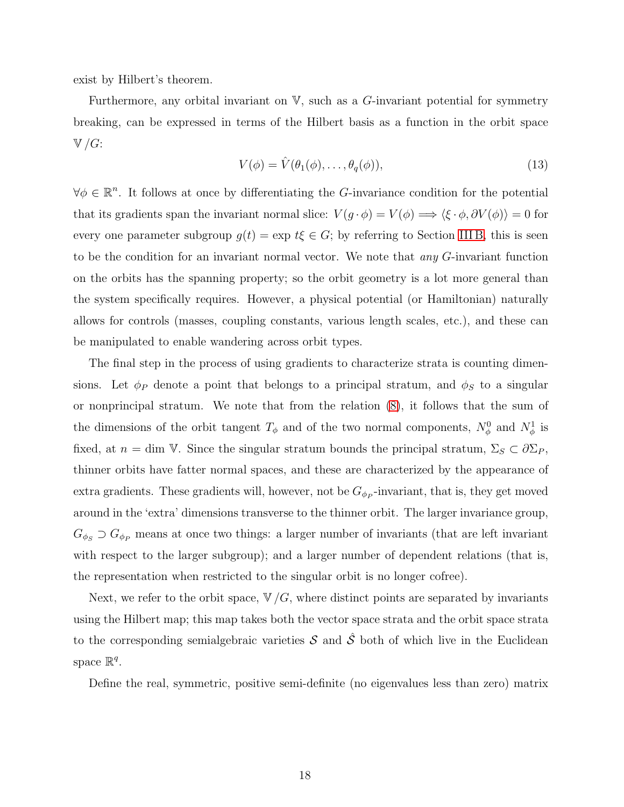exist by Hilbert's theorem.

Furthermore, any orbital invariant on  $V$ , such as a G-invariant potential for symmetry breaking, can be expressed in terms of the Hilbert basis as a function in the orbit space  $\mathbb{V}/G$ :

<span id="page-17-0"></span>
$$
V(\phi) = \hat{V}(\theta_1(\phi), \dots, \theta_q(\phi)), \tag{13}
$$

 $\forall \phi \in \mathbb{R}^n$ . It follows at once by differentiating the G-invariance condition for the potential that its gradients span the invariant normal slice:  $V(g \cdot \phi) = V(\phi) \Longrightarrow \langle \xi \cdot \phi, \partial V(\phi) \rangle = 0$  for every one parameter subgroup  $g(t) = \exp t\xi \in G$ ; by referring to Section [III B,](#page-9-0) this is seen to be the condition for an invariant normal vector. We note that *any G*-invariant function on the orbits has the spanning property; so the orbit geometry is a lot more general than the system specifically requires. However, a physical potential (or Hamiltonian) naturally allows for controls (masses, coupling constants, various length scales, etc.), and these can be manipulated to enable wandering across orbit types.

The final step in the process of using gradients to characterize strata is counting dimensions. Let  $\phi_P$  denote a point that belongs to a principal stratum, and  $\phi_S$  to a singular or nonprincipal stratum. We note that from the relation [\(8\)](#page-9-1), it follows that the sum of the dimensions of the orbit tangent  $T_{\phi}$  and of the two normal components,  $N_{\phi}^0$  and  $N_{\phi}^1$  is fixed, at  $n = \dim \mathbb{V}$ . Since the singular stratum bounds the principal stratum,  $\Sigma_S \subset \partial \Sigma_P$ , thinner orbits have fatter normal spaces, and these are characterized by the appearance of extra gradients. These gradients will, however, not be  $G_{\phi_P}$ -invariant, that is, they get moved around in the 'extra' dimensions transverse to the thinner orbit. The larger invariance group,  $G_{\phi_S}$   $\supset G_{\phi_P}$  means at once two things: a larger number of invariants (that are left invariant with respect to the larger subgroup); and a larger number of dependent relations (that is, the representation when restricted to the singular orbit is no longer cofree).

Next, we refer to the orbit space,  $\nabla/G$ , where distinct points are separated by invariants using the Hilbert map; this map takes both the vector space strata and the orbit space strata to the corresponding semialgebraic varieties  $S$  and  $\hat{S}$  both of which live in the Euclidean space  $\mathbb{R}^q$ .

Define the real, symmetric, positive semi-definite (no eigenvalues less than zero) matrix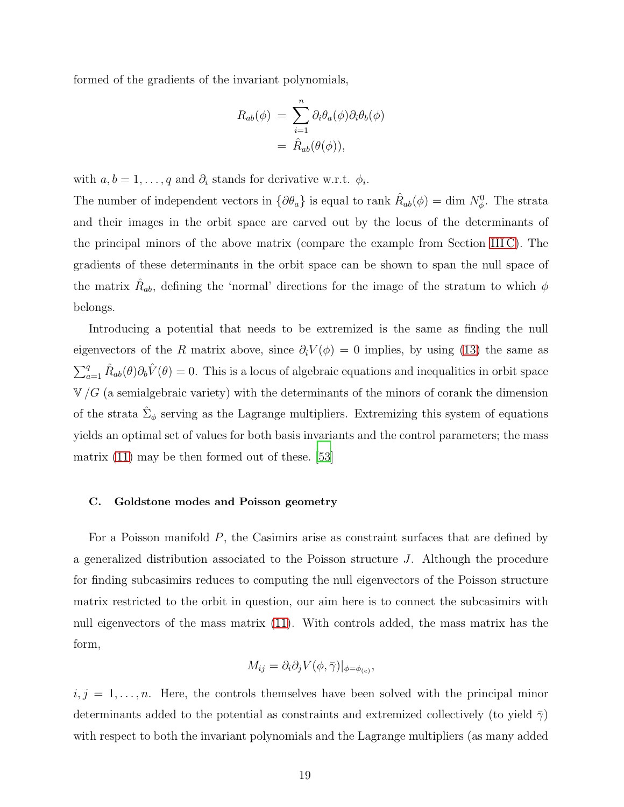formed of the gradients of the invariant polynomials,

$$
R_{ab}(\phi) = \sum_{i=1}^{n} \partial_i \theta_a(\phi) \partial_i \theta_b(\phi)
$$
  
=  $\hat{R}_{ab}(\theta(\phi)),$ 

with  $a, b = 1, \ldots, q$  and  $\partial_i$  stands for derivative w.r.t.  $\phi_i$ .

The number of independent vectors in  $\{\partial \theta_a\}$  is equal to rank  $\hat{R}_{ab}(\phi) = \dim N_\phi^0$ . The strata and their images in the orbit space are carved out by the locus of the determinants of the principal minors of the above matrix (compare the example from Section [III C\)](#page-10-1). The gradients of these determinants in the orbit space can be shown to span the null space of the matrix  $\hat{R}_{ab}$ , defining the 'normal' directions for the image of the stratum to which  $\phi$ belongs.

Introducing a potential that needs to be extremized is the same as finding the null eigenvectors of the R matrix above, since  $\partial_i V(\phi) = 0$  implies, by using [\(13\)](#page-17-0) the same as  $\sum_{a=1}^{q} \hat{R}_{ab}(\theta) \partial_b \hat{V}(\theta) = 0$ . This is a locus of algebraic equations and inequalities in orbit space  $V/G$  (a semialgebraic variety) with the determinants of the minors of corank the dimension of the strata  $\hat{\Sigma}_{\phi}$  serving as the Lagrange multipliers. Extremizing this system of equations yields an optimal set of values for both basis invariants and the control parameters; the mass matrix [\(11\)](#page-15-1) may be then formed out of these. [\[53](#page-31-3)]

#### <span id="page-18-0"></span>C. Goldstone modes and Poisson geometry

For a Poisson manifold  $P$ , the Casimirs arise as constraint surfaces that are defined by a generalized distribution associated to the Poisson structure J. Although the procedure for finding subcasimirs reduces to computing the null eigenvectors of the Poisson structure matrix restricted to the orbit in question, our aim here is to connect the subcasimirs with null eigenvectors of the mass matrix [\(11\)](#page-15-1). With controls added, the mass matrix has the form,

$$
M_{ij} = \partial_i \partial_j V(\phi, \bar{\gamma})|_{\phi = \phi_{(e)}},
$$

 $i, j = 1, \ldots, n$ . Here, the controls themselves have been solved with the principal minor determinants added to the potential as constraints and extremized collectively (to yield  $\bar{\gamma}$ ) with respect to both the invariant polynomials and the Lagrange multipliers (as many added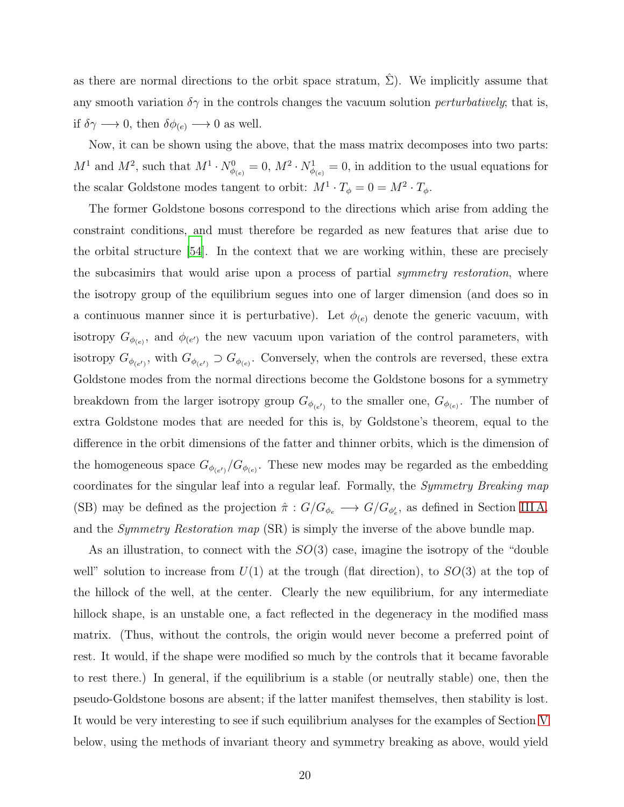as there are normal directions to the orbit space stratum,  $\Sigma$ ). We implicitly assume that any smooth variation  $\delta \gamma$  in the controls changes the vacuum solution *perturbatively*; that is, if  $\delta \gamma \longrightarrow 0$ , then  $\delta \phi_{(e)} \longrightarrow 0$  as well.

Now, it can be shown using the above, that the mass matrix decomposes into two parts:  $M^1$  and  $M^2$ , such that  $M^1 \cdot N_{\phi_{(e)}}^0 = 0$ ,  $M^2 \cdot N_{\phi_{(e)}}^1 = 0$ , in addition to the usual equations for the scalar Goldstone modes tangent to orbit:  $M^1 \cdot T_\phi = 0 = M^2 \cdot T_\phi$ .

The former Goldstone bosons correspond to the directions which arise from adding the constraint conditions, and must therefore be regarded as new features that arise due to the orbital structure [\[54\]](#page-31-4). In the context that we are working within, these are precisely the subcasimirs that would arise upon a process of partial *symmetry restoration*, where the isotropy group of the equilibrium segues into one of larger dimension (and does so in a continuous manner since it is perturbative). Let  $\phi_{(e)}$  denote the generic vacuum, with isotropy  $G_{\phi_{(e)}}$ , and  $\phi_{(e')}$  the new vacuum upon variation of the control parameters, with isotropy  $G_{\phi_{(e')}}$ , with  $G_{\phi_{(e')}} \supset G_{\phi_{(e)}}$ . Conversely, when the controls are reversed, these extra Goldstone modes from the normal directions become the Goldstone bosons for a symmetry breakdown from the larger isotropy group  $G_{\phi_{(e')}}$  to the smaller one,  $G_{\phi_{(e)}}$ . The number of extra Goldstone modes that are needed for this is, by Goldstone's theorem, equal to the difference in the orbit dimensions of the fatter and thinner orbits, which is the dimension of the homogeneous space  $G_{\phi_{(e')}}/G_{\phi_{(e)}}$ . These new modes may be regarded as the embedding coordinates for the singular leaf into a regular leaf. Formally, the Symmetry Breaking map (SB) may be defined as the projection  $\hat{\pi}: G/G_{\phi_e} \longrightarrow G/G_{\phi'_e}$ , as defined in Section IIIA, and the *Symmetry Restoration map* (SR) is simply the inverse of the above bundle map.

As an illustration, to connect with the  $SO(3)$  case, imagine the isotropy of the "double" well" solution to increase from  $U(1)$  at the trough (flat direction), to  $SO(3)$  at the top of the hillock of the well, at the center. Clearly the new equilibrium, for any intermediate hillock shape, is an unstable one, a fact reflected in the degeneracy in the modified mass matrix. (Thus, without the controls, the origin would never become a preferred point of rest. It would, if the shape were modified so much by the controls that it became favorable to rest there.) In general, if the equilibrium is a stable (or neutrally stable) one, then the pseudo-Goldstone bosons are absent; if the latter manifest themselves, then stability is lost. It would be very interesting to see if such equilibrium analyses for the examples of Section [V](#page-20-0) below, using the methods of invariant theory and symmetry breaking as above, would yield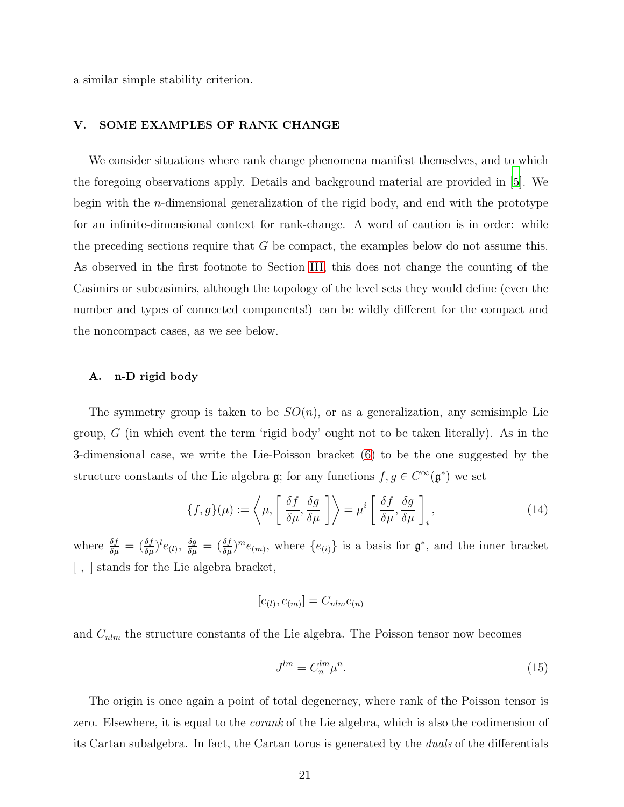a similar simple stability criterion.

# <span id="page-20-0"></span>V. SOME EXAMPLES OF RANK CHANGE

We consider situations where rank change phenomena manifest themselves, and to which the foregoing observations apply. Details and background material are provided in [\[5\]](#page-28-3). We begin with the n-dimensional generalization of the rigid body, and end with the prototype for an infinite-dimensional context for rank-change. A word of caution is in order: while the preceding sections require that  $G$  be compact, the examples below do not assume this. As observed in the first footnote to Section [III,](#page-6-0) this does not change the counting of the Casimirs or subcasimirs, although the topology of the level sets they would define (even the number and types of connected components!) can be wildly different for the compact and the noncompact cases, as we see below.

### A. n-D rigid body

The symmetry group is taken to be  $SO(n)$ , or as a generalization, any semisimple Lie group,  $G$  (in which event the term 'rigid body' ought not to be taken literally). As in the 3-dimensional case, we write the Lie-Poisson bracket [\(6\)](#page-5-1) to be the one suggested by the structure constants of the Lie algebra  $\mathfrak{g}$ ; for any functions  $f, g \in C^{\infty}(\mathfrak{g}^*)$  we set

<span id="page-20-1"></span>
$$
\{f,g\}(\mu) := \left\langle \mu, \left[ \frac{\delta f}{\delta \mu}, \frac{\delta g}{\delta \mu} \right] \right\rangle = \mu^i \left[ \frac{\delta f}{\delta \mu}, \frac{\delta g}{\delta \mu} \right]_i, \tag{14}
$$

where  $\frac{\delta f}{\delta \mu} = (\frac{\delta f}{\delta \mu})^l e_{(l)}$ ,  $\frac{\delta g}{\delta \mu} = (\frac{\delta f}{\delta \mu})^m e_{(m)}$ , where  $\{e_{(i)}\}$  is a basis for  $\mathfrak{g}^*$ , and the inner bracket [ , ] stands for the Lie algebra bracket,

$$
[e_{(l)}, e_{(m)}] = C_{nlm}e_{(n)}
$$

and  $C_{nlm}$  the structure constants of the Lie algebra. The Poisson tensor now becomes

$$
J^{lm} = C_n^{lm} \mu^n. \tag{15}
$$

The origin is once again a point of total degeneracy, where rank of the Poisson tensor is zero. Elsewhere, it is equal to the *corank* of the Lie algebra, which is also the codimension of its Cartan subalgebra. In fact, the Cartan torus is generated by the duals of the differentials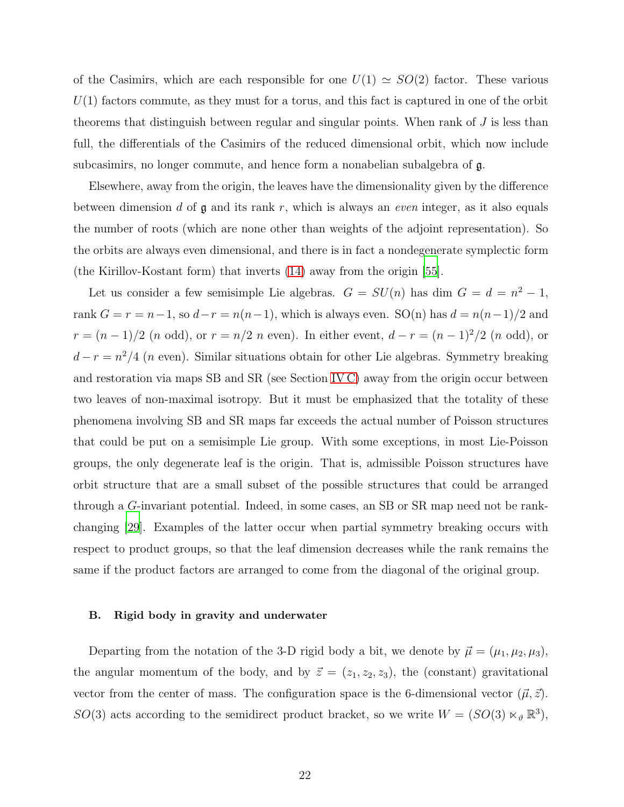of the Casimirs, which are each responsible for one  $U(1) \simeq SO(2)$  factor. These various  $U(1)$  factors commute, as they must for a torus, and this fact is captured in one of the orbit theorems that distinguish between regular and singular points. When rank of  $J$  is less than full, the differentials of the Casimirs of the reduced dimensional orbit, which now include subcasimirs, no longer commute, and hence form a nonabelian subalgebra of g.

Elsewhere, away from the origin, the leaves have the dimensionality given by the difference between dimension d of  $\mathfrak g$  and its rank r, which is always an even integer, as it also equals the number of roots (which are none other than weights of the adjoint representation). So the orbits are always even dimensional, and there is in fact a nondegenerate symplectic form (the Kirillov-Kostant form) that inverts [\(14\)](#page-20-1) away from the origin [\[55](#page-31-5)].

Let us consider a few semisimple Lie algebras.  $G = SU(n)$  has dim  $G = d = n^2 - 1$ , rank  $G = r = n-1$ , so  $d-r = n(n-1)$ , which is always even. SO(n) has  $d = n(n-1)/2$  and  $r = (n-1)/2$  (n odd), or  $r = n/2$  n even). In either event,  $d - r = (n-1)^2/2$  (n odd), or  $d-r = n^2/4$  (n even). Similar situations obtain for other Lie algebras. Symmetry breaking and restoration via maps SB and SR (see Section [IV C\)](#page-18-0) away from the origin occur between two leaves of non-maximal isotropy. But it must be emphasized that the totality of these phenomena involving SB and SR maps far exceeds the actual number of Poisson structures that could be put on a semisimple Lie group. With some exceptions, in most Lie-Poisson groups, the only degenerate leaf is the origin. That is, admissible Poisson structures have orbit structure that are a small subset of the possible structures that could be arranged through a G-invariant potential. Indeed, in some cases, an SB or SR map need not be rankchanging [\[29\]](#page-29-7). Examples of the latter occur when partial symmetry breaking occurs with respect to product groups, so that the leaf dimension decreases while the rank remains the same if the product factors are arranged to come from the diagonal of the original group.

#### B. Rigid body in gravity and underwater

Departing from the notation of the 3-D rigid body a bit, we denote by  $\vec{\mu} = (\mu_1, \mu_2, \mu_3)$ , the angular momentum of the body, and by  $\vec{z} = (z_1, z_2, z_3)$ , the (constant) gravitational vector from the center of mass. The configuration space is the 6-dimensional vector  $(\vec{\mu}, \vec{z})$ . SO(3) acts according to the semidirect product bracket, so we write  $W = (SO(3) \ltimes_{\theta} \mathbb{R}^{3}),$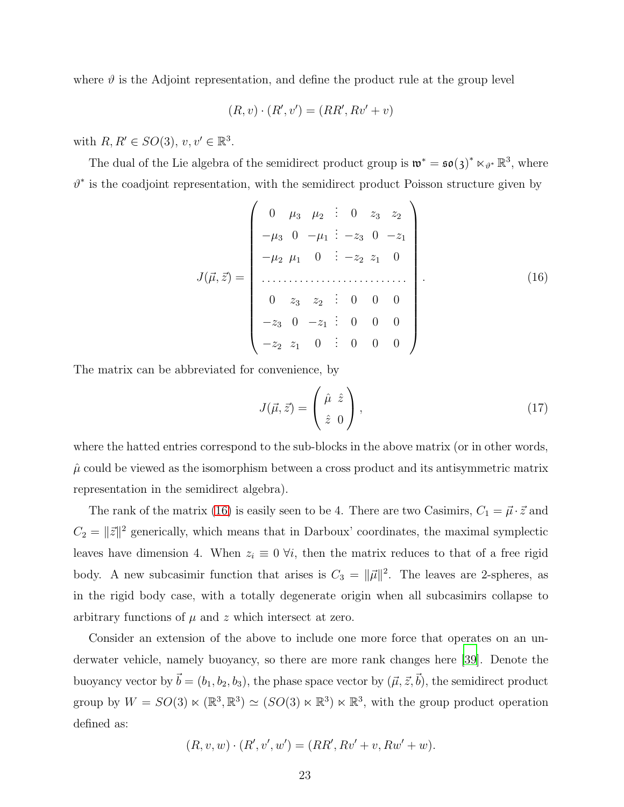where  $\vartheta$  is the Adjoint representation, and define the product rule at the group level

$$
(R, v) \cdot (R', v') = (RR', Rv' + v)
$$

with  $R, R' \in SO(3), v, v' \in \mathbb{R}^3$ .

The dual of the Lie algebra of the semidirect product group is  $\mathfrak{w}^* = \mathfrak{so}(3)^* \ltimes_{\vartheta^*} \mathbb{R}^3$ , where  $\vartheta^*$  is the coadjoint representation, with the semidirect product Poisson structure given by

<span id="page-22-0"></span>
$$
J(\vec{\mu}, \vec{z}) = \begin{pmatrix} 0 & \mu_3 & \mu_2 & \vdots & 0 & z_3 & z_2 \\ -\mu_3 & 0 & -\mu_1 & \vdots & -z_3 & 0 & -z_1 \\ -\mu_2 & \mu_1 & 0 & \vdots & -z_2 & z_1 & 0 \\ \vdots & \vdots & \vdots & \vdots & \vdots & \vdots & \vdots \\ 0 & z_3 & z_2 & \vdots & 0 & 0 & 0 \\ -z_3 & 0 & -z_1 & \vdots & 0 & 0 & 0 \\ -z_2 & z_1 & 0 & \vdots & 0 & 0 & 0 \end{pmatrix}
$$
(16)

The matrix can be abbreviated for convenience, by

<span id="page-22-1"></span>
$$
J(\vec{\mu}, \vec{z}) = \begin{pmatrix} \hat{\mu} & \hat{z} \\ \hat{z} & 0 \end{pmatrix}, \tag{17}
$$

where the hatted entries correspond to the sub-blocks in the above matrix (or in other words,  $\hat{\mu}$  could be viewed as the isomorphism between a cross product and its antisymmetric matrix representation in the semidirect algebra).

The rank of the matrix [\(16\)](#page-22-0) is easily seen to be 4. There are two Casimirs,  $C_1 = \vec{\mu} \cdot \vec{z}$  and  $C_2 = ||\vec{z}||^2$  generically, which means that in Darboux' coordinates, the maximal symplectic leaves have dimension 4. When  $z_i \equiv 0 \forall i$ , then the matrix reduces to that of a free rigid body. A new subcasimir function that arises is  $C_3 = ||\vec{\mu}||^2$ . The leaves are 2-spheres, as in the rigid body case, with a totally degenerate origin when all subcasimirs collapse to arbitrary functions of  $\mu$  and  $z$  which intersect at zero.

Consider an extension of the above to include one more force that operates on an underwater vehicle, namely buoyancy, so there are more rank changes here [\[39\]](#page-30-4). Denote the buoyancy vector by  $\vec{b} = (b_1, b_2, b_3)$ , the phase space vector by  $(\vec{\mu}, \vec{z}, \vec{b})$ , the semidirect product group by  $W = SO(3) \ltimes (\mathbb{R}^3, \mathbb{R}^3) \simeq (SO(3) \ltimes \mathbb{R}^3) \ltimes \mathbb{R}^3$ , with the group product operation defined as:

$$
(R, v, w) \cdot (R', v', w') = (RR', Rv' + v, Rw' + w).
$$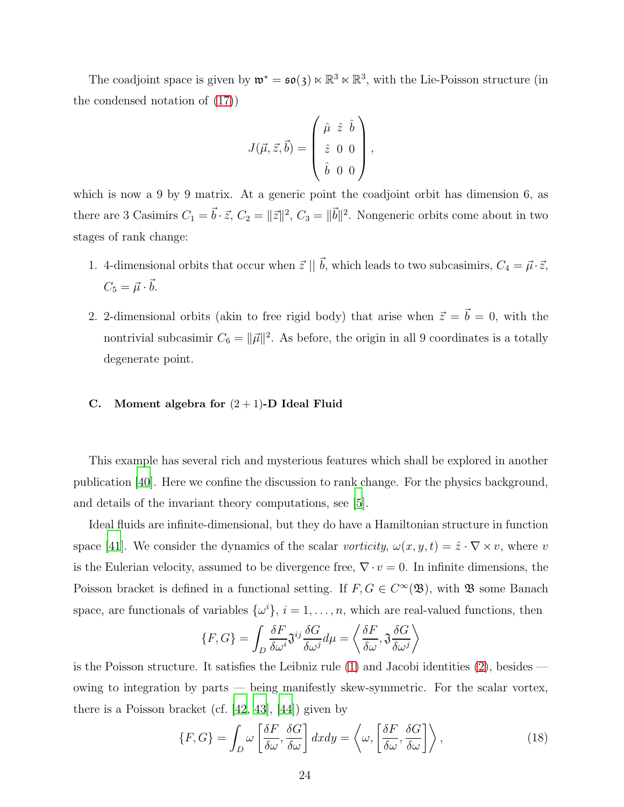The coadjoint space is given by  $\mathfrak{w}^* = \mathfrak{so}(3) \ltimes \mathbb{R}^3 \ltimes \mathbb{R}^3$ , with the Lie-Poisson structure (in the condensed notation of [\(17\)](#page-22-1))

$$
J(\vec{\mu}, \vec{z}, \vec{b}) = \begin{pmatrix} \hat{\mu} & \hat{z} & \hat{b} \\ \hat{z} & 0 & 0 \\ \hat{b} & 0 & 0 \end{pmatrix},
$$

which is now a 9 by 9 matrix. At a generic point the coadjoint orbit has dimension 6, as there are 3 Casimirs  $C_1 = \vec{b} \cdot \vec{z}$ ,  $C_2 = ||\vec{z}||^2$ ,  $C_3 = ||\vec{b}||^2$ . Nongeneric orbits come about in two stages of rank change:

- 1. 4-dimensional orbits that occur when  $\vec{z} \parallel \vec{b}$ , which leads to two subcasimirs,  $C_4 = \vec{\mu} \cdot \vec{z}$ ,  $C_5 = \vec{\mu} \cdot \vec{b}.$
- 2. 2-dimensional orbits (akin to free rigid body) that arise when  $\vec{z} = \vec{b} = 0$ , with the nontrivial subcasimir  $C_6 = ||\vec{\mu}||^2$ . As before, the origin in all 9 coordinates is a totally degenerate point.

# <span id="page-23-1"></span>C. Moment algebra for  $(2 + 1)$ -D Ideal Fluid

This example has several rich and mysterious features which shall be explored in another publication [\[40](#page-30-5)]. Here we confine the discussion to rank change. For the physics background, and details of the invariant theory computations, see [\[5](#page-28-3)].

Ideal fluids are infinite-dimensional, but they do have a Hamiltonian structure in function space [\[41](#page-30-6)]. We consider the dynamics of the scalar vorticity,  $\omega(x, y, t) = \hat{z} \cdot \nabla \times v$ , where v is the Eulerian velocity, assumed to be divergence free,  $\nabla \cdot v = 0$ . In infinite dimensions, the Poisson bracket is defined in a functional setting. If  $F, G \in C^{\infty}(\mathfrak{B})$ , with  $\mathfrak{B}$  some Banach space, are functionals of variables  $\{\omega^i\}, i = 1, \ldots, n$ , which are real-valued functions, then

$$
\{F, G\} = \int_{D} \frac{\delta F}{\delta \omega^{i}} \mathfrak{J}^{ij} \frac{\delta G}{\delta \omega^{j}} d\mu = \left\langle \frac{\delta F}{\delta \omega}, \mathfrak{J} \frac{\delta G}{\delta \omega^{j}} \right\rangle
$$

is the Poisson structure. It satisfies the Leibniz rule [\(1\)](#page-2-1) and Jacobi identities [\(2\)](#page-2-2), besides owing to integration by parts — being manifestly skew-symmetric. For the scalar vortex, there is a Poisson bracket (cf.  $[42, 43]$  $[42, 43]$  $[42, 43]$ ,  $[44]$ ) given by

<span id="page-23-0"></span>
$$
\{F, G\} = \int_{D} \omega \left[ \frac{\delta F}{\delta \omega}, \frac{\delta G}{\delta \omega} \right] dx dy = \left\langle \omega, \left[ \frac{\delta F}{\delta \omega}, \frac{\delta G}{\delta \omega} \right] \right\rangle, \tag{18}
$$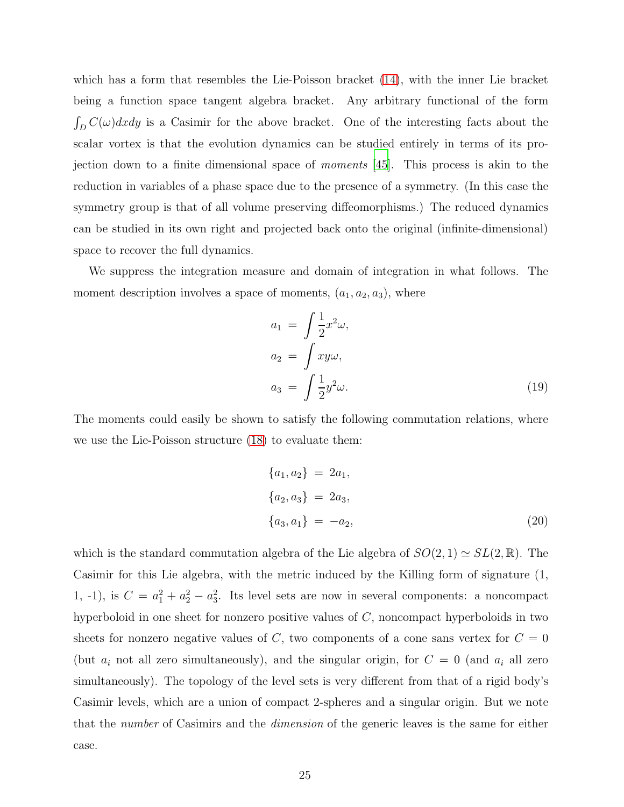which has a form that resembles the Lie-Poisson bracket [\(14\)](#page-20-1), with the inner Lie bracket being a function space tangent algebra bracket. Any arbitrary functional of the form  $\int_D C(\omega) dxdy$  is a Casimir for the above bracket. One of the interesting facts about the scalar vortex is that the evolution dynamics can be studied entirely in terms of its projection down to a finite dimensional space of moments [\[45\]](#page-30-10). This process is akin to the reduction in variables of a phase space due to the presence of a symmetry. (In this case the symmetry group is that of all volume preserving diffeomorphisms.) The reduced dynamics can be studied in its own right and projected back onto the original (infinite-dimensional) space to recover the full dynamics.

We suppress the integration measure and domain of integration in what follows. The moment description involves a space of moments,  $(a_1, a_2, a_3)$ , where

$$
a_1 = \int \frac{1}{2} x^2 \omega,
$$
  
\n
$$
a_2 = \int xy\omega,
$$
  
\n
$$
a_3 = \int \frac{1}{2} y^2 \omega.
$$
\n(19)

The moments could easily be shown to satisfy the following commutation relations, where we use the Lie-Poisson structure [\(18\)](#page-23-0) to evaluate them:

$$
\{a_1, a_2\} = 2a_1,\n\{a_2, a_3\} = 2a_3,\n\{a_3, a_1\} = -a_2,
$$
\n(20)

which is the standard commutation algebra of the Lie algebra of  $SO(2,1) \simeq SL(2,\mathbb{R})$ . The Casimir for this Lie algebra, with the metric induced by the Killing form of signature (1, 1, -1), is  $C = a_1^2 + a_2^2 - a_3^2$ . Its level sets are now in several components: a noncompact hyperboloid in one sheet for nonzero positive values of C, noncompact hyperboloids in two sheets for nonzero negative values of C, two components of a cone sans vertex for  $C = 0$ (but  $a_i$  not all zero simultaneously), and the singular origin, for  $C = 0$  (and  $a_i$  all zero simultaneously). The topology of the level sets is very different from that of a rigid body's Casimir levels, which are a union of compact 2-spheres and a singular origin. But we note that the number of Casimirs and the dimension of the generic leaves is the same for either case.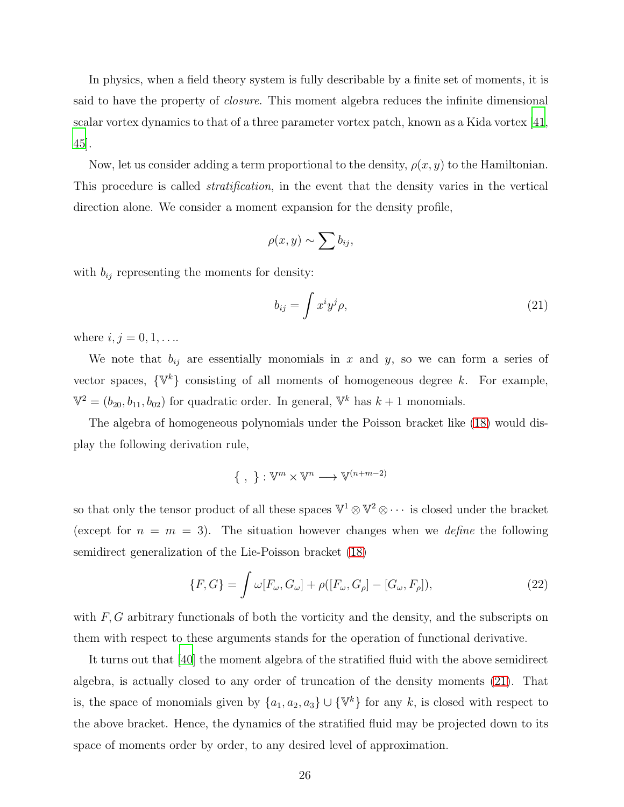In physics, when a field theory system is fully describable by a finite set of moments, it is said to have the property of *closure*. This moment algebra reduces the infinite dimensional scalar vortex dynamics to that of a three parameter vortex patch, known as a Kida vortex [\[41,](#page-30-6) [45\]](#page-30-10).

Now, let us consider adding a term proportional to the density,  $\rho(x, y)$  to the Hamiltonian. This procedure is called *stratification*, in the event that the density varies in the vertical direction alone. We consider a moment expansion for the density profile,

$$
\rho(x,y) \sim \sum b_{ij},
$$

with  $b_{ij}$  representing the moments for density:

<span id="page-25-0"></span>
$$
b_{ij} = \int x^i y^j \rho,\tag{21}
$$

where  $i, j = 0, 1, ...$ 

We note that  $b_{ij}$  are essentially monomials in x and y, so we can form a series of vector spaces,  $\{\mathbb{V}^k\}$  consisting of all moments of homogeneous degree k. For example,  $\mathbb{V}^2 = (b_{20}, b_{11}, b_{02})$  for quadratic order. In general,  $\mathbb{V}^k$  has  $k+1$  monomials.

The algebra of homogeneous polynomials under the Poisson bracket like [\(18\)](#page-23-0) would display the following derivation rule,

$$
\{\ ,\ \} : \mathbb{V}^m \times \mathbb{V}^n \longrightarrow \mathbb{V}^{(n+m-2)}
$$

so that only the tensor product of all these spaces  $\mathbb{V}^1 \otimes \mathbb{V}^2 \otimes \cdots$  is closed under the bracket (except for  $n = m = 3$ ). The situation however changes when we *define* the following semidirect generalization of the Lie-Poisson bracket [\(18\)](#page-23-0)

<span id="page-25-1"></span>
$$
\{F, G\} = \int \omega[F_{\omega}, G_{\omega}] + \rho([F_{\omega}, G_{\rho}] - [G_{\omega}, F_{\rho}]),\tag{22}
$$

with F, G arbitrary functionals of both the vorticity and the density, and the subscripts on them with respect to these arguments stands for the operation of functional derivative.

It turns out that [\[40](#page-30-5)] the moment algebra of the stratified fluid with the above semidirect algebra, is actually closed to any order of truncation of the density moments [\(21\)](#page-25-0). That is, the space of monomials given by  $\{a_1, a_2, a_3\} \cup \{\mathbb{V}^k\}$  for any k, is closed with respect to the above bracket. Hence, the dynamics of the stratified fluid may be projected down to its space of moments order by order, to any desired level of approximation.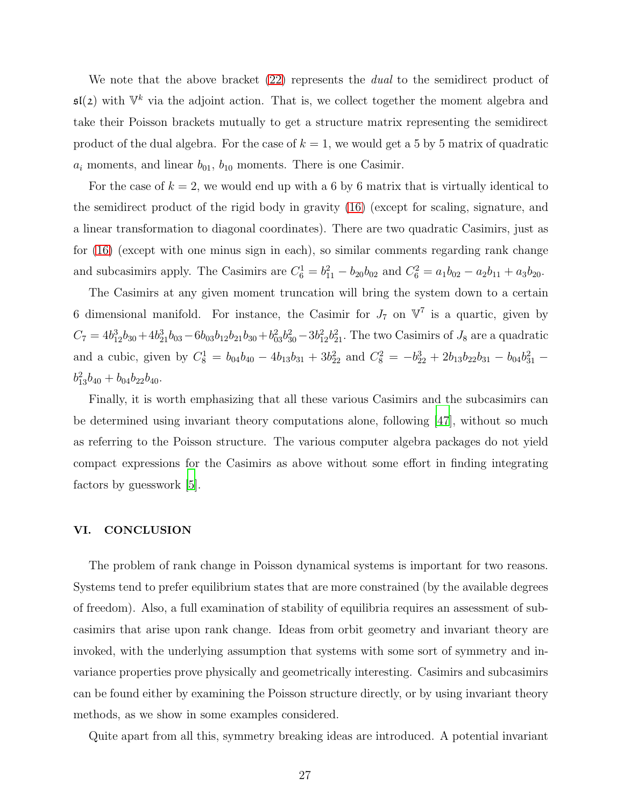We note that the above bracket [\(22\)](#page-25-1) represents the *dual* to the semidirect product of  $\mathfrak{sl}(2)$  with  $\mathbb{V}^k$  via the adjoint action. That is, we collect together the moment algebra and take their Poisson brackets mutually to get a structure matrix representing the semidirect product of the dual algebra. For the case of  $k = 1$ , we would get a 5 by 5 matrix of quadratic  $a_i$  moments, and linear  $b_{01}$ ,  $b_{10}$  moments. There is one Casimir.

For the case of  $k = 2$ , we would end up with a 6 by 6 matrix that is virtually identical to the semidirect product of the rigid body in gravity [\(16\)](#page-22-0) (except for scaling, signature, and a linear transformation to diagonal coordinates). There are two quadratic Casimirs, just as for [\(16\)](#page-22-0) (except with one minus sign in each), so similar comments regarding rank change and subcasimirs apply. The Casimirs are  $C_6^1 = b_{11}^2 - b_{20}b_{02}$  and  $C_6^2 = a_1b_{02} - a_2b_{11} + a_3b_{20}$ .

The Casimirs at any given moment truncation will bring the system down to a certain 6 dimensional manifold. For instance, the Casimir for  $J_7$  on  $\mathbb{V}^7$  is a quartic, given by  $C_7 = 4b_{12}^3b_{30} + 4b_{21}^3b_{03} - 6b_{03}b_{12}b_{21}b_{30} + b_{03}^2b_{30}^2 - 3b_{12}^2b_{21}^2$ . The two Casimirs of  $J_8$  are a quadratic and a cubic, given by  $C_8^1 = b_{04}b_{40} - 4b_{13}b_{31} + 3b_{22}^2$  and  $C_8^2 = -b_{22}^3 + 2b_{13}b_{22}b_{31} - b_{04}b_{31}^2$  $b_{13}^2b_{40} + b_{04}b_{22}b_{40}.$ 

Finally, it is worth emphasizing that all these various Casimirs and the subcasimirs can be determined using invariant theory computations alone, following [\[47\]](#page-30-11), without so much as referring to the Poisson structure. The various computer algebra packages do not yield compact expressions for the Casimirs as above without some effort in finding integrating factors by guesswork [\[5\]](#page-28-3).

### <span id="page-26-0"></span>VI. CONCLUSION

The problem of rank change in Poisson dynamical systems is important for two reasons. Systems tend to prefer equilibrium states that are more constrained (by the available degrees of freedom). Also, a full examination of stability of equilibria requires an assessment of subcasimirs that arise upon rank change. Ideas from orbit geometry and invariant theory are invoked, with the underlying assumption that systems with some sort of symmetry and invariance properties prove physically and geometrically interesting. Casimirs and subcasimirs can be found either by examining the Poisson structure directly, or by using invariant theory methods, as we show in some examples considered.

Quite apart from all this, symmetry breaking ideas are introduced. A potential invariant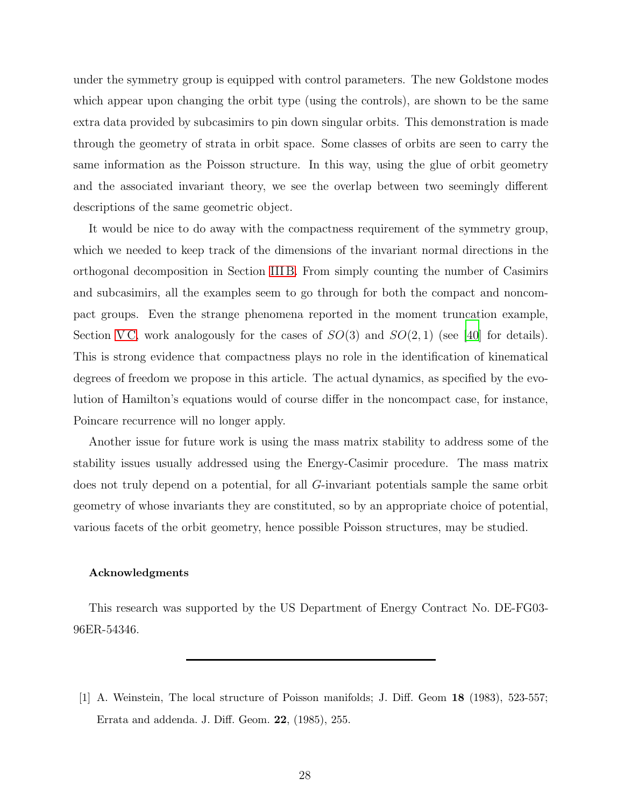under the symmetry group is equipped with control parameters. The new Goldstone modes which appear upon changing the orbit type (using the controls), are shown to be the same extra data provided by subcasimirs to pin down singular orbits. This demonstration is made through the geometry of strata in orbit space. Some classes of orbits are seen to carry the same information as the Poisson structure. In this way, using the glue of orbit geometry and the associated invariant theory, we see the overlap between two seemingly different descriptions of the same geometric object.

It would be nice to do away with the compactness requirement of the symmetry group, which we needed to keep track of the dimensions of the invariant normal directions in the orthogonal decomposition in Section [III B.](#page-9-0) From simply counting the number of Casimirs and subcasimirs, all the examples seem to go through for both the compact and noncompact groups. Even the strange phenomena reported in the moment truncation example, Section VC, work analogously for the cases of  $SO(3)$  and  $SO(2, 1)$  (see [\[40\]](#page-30-5) for details). This is strong evidence that compactness plays no role in the identification of kinematical degrees of freedom we propose in this article. The actual dynamics, as specified by the evolution of Hamilton's equations would of course differ in the noncompact case, for instance, Poincare recurrence will no longer apply.

Another issue for future work is using the mass matrix stability to address some of the stability issues usually addressed using the Energy-Casimir procedure. The mass matrix does not truly depend on a potential, for all G-invariant potentials sample the same orbit geometry of whose invariants they are constituted, so by an appropriate choice of potential, various facets of the orbit geometry, hence possible Poisson structures, may be studied.

### Acknowledgments

This research was supported by the US Department of Energy Contract No. DE-FG03- 96ER-54346.

<span id="page-27-0"></span><sup>[1]</sup> A. Weinstein, The local structure of Poisson manifolds; J. Diff. Geom 18 (1983), 523-557; Errata and addenda. J. Diff. Geom. 22, (1985), 255.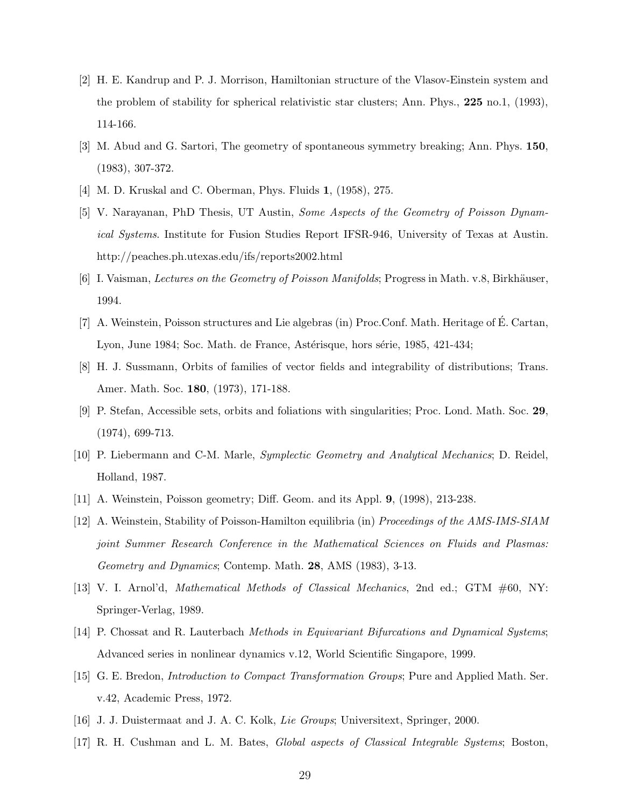- <span id="page-28-0"></span>[2] H. E. Kandrup and P. J. Morrison, Hamiltonian structure of the Vlasov-Einstein system and the problem of stability for spherical relativistic star clusters; Ann. Phys., 225 no.1, (1993), 114-166.
- <span id="page-28-1"></span>[3] M. Abud and G. Sartori, The geometry of spontaneous symmetry breaking; Ann. Phys. 150, (1983), 307-372.
- <span id="page-28-3"></span><span id="page-28-2"></span>[4] M. D. Kruskal and C. Oberman, Phys. Fluids 1, (1958), 275.
- [5] V. Narayanan, PhD Thesis, UT Austin, *Some Aspects of the Geometry of Poisson Dynamical Systems*. Institute for Fusion Studies Report IFSR-946, University of Texas at Austin. http://peaches.ph.utexas.edu/ifs/reports2002.html
- <span id="page-28-4"></span>[6] I. Vaisman, *Lectures on the Geometry of Poisson Manifolds*; Progress in Math. v.8, Birkhäuser, 1994.
- <span id="page-28-5"></span>[7] A. Weinstein, Poisson structures and Lie algebras (in) Proc.Conf. Math. Heritage of É. Cartan, Lyon, June 1984; Soc. Math. de France, Astérisque, hors série, 1985, 421-434;
- <span id="page-28-6"></span>[8] H. J. Sussmann, Orbits of families of vector fields and integrability of distributions; Trans. Amer. Math. Soc. 180, (1973), 171-188.
- [9] P. Stefan, Accessible sets, orbits and foliations with singularities; Proc. Lond. Math. Soc. 29, (1974), 699-713.
- <span id="page-28-7"></span>[10] P. Liebermann and C-M. Marle, *Symplectic Geometry and Analytical Mechanics*; D. Reidel, Holland, 1987.
- <span id="page-28-9"></span><span id="page-28-8"></span>[11] A. Weinstein, Poisson geometry; Diff. Geom. and its Appl. 9, (1998), 213-238.
- [12] A. Weinstein, Stability of Poisson-Hamilton equilibria (in) *Proceedings of the AMS-IMS-SIAM joint Summer Research Conference in the Mathematical Sciences on Fluids and Plasmas: Geometry and Dynamics*; Contemp. Math. 28, AMS (1983), 3-13.
- <span id="page-28-10"></span>[13] V. I. Arnol'd, *Mathematical Methods of Classical Mechanics*, 2nd ed.; GTM #60, NY: Springer-Verlag, 1989.
- <span id="page-28-11"></span>[14] P. Chossat and R. Lauterbach *Methods in Equivariant Bifurcations and Dynamical Systems*; Advanced series in nonlinear dynamics v.12, World Scientific Singapore, 1999.
- <span id="page-28-12"></span>[15] G. E. Bredon, *Introduction to Compact Transformation Groups*; Pure and Applied Math. Ser. v.42, Academic Press, 1972.
- [16] J. J. Duistermaat and J. A. C. Kolk, *Lie Groups*; Universitext, Springer, 2000.
- <span id="page-28-13"></span>[17] R. H. Cushman and L. M. Bates, *Global aspects of Classical Integrable Systems*; Boston,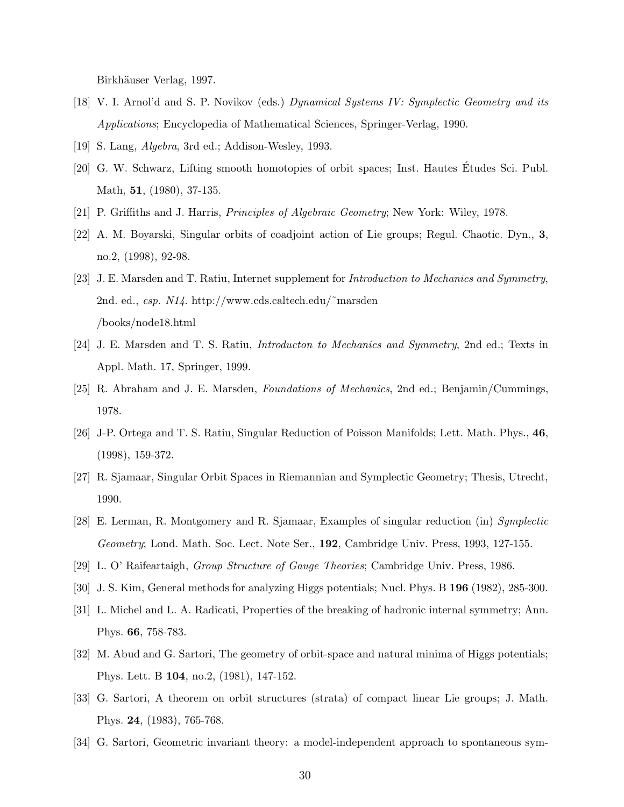Birkhäuser Verlag, 1997.

- <span id="page-29-0"></span>[18] V. I. Arnol'd and S. P. Novikov (eds.) *Dynamical Systems IV: Symplectic Geometry and its Applications*; Encyclopedia of Mathematical Sciences, Springer-Verlag, 1990.
- <span id="page-29-2"></span><span id="page-29-1"></span>[19] S. Lang, *Algebra*, 3rd ed.; Addison-Wesley, 1993.
- [20] G. W. Schwarz, Lifting smooth homotopies of orbit spaces; Inst. Hautes Études Sci. Publ. Math, **51**, (1980), 37-135.
- <span id="page-29-11"></span><span id="page-29-3"></span>[21] P. Griffiths and J. Harris, *Principles of Algebraic Geometry*; New York: Wiley, 1978.
- [22] A. M. Boyarski, Singular orbits of coadjoint action of Lie groups; Regul. Chaotic. Dyn., 3, no.2, (1998), 92-98.
- <span id="page-29-4"></span>[23] J. E. Marsden and T. Ratiu, Internet supplement for *Introduction to Mechanics and Symmetry*, 2nd. ed., *esp. N14*. http://www.cds.caltech.edu/˜marsden /books/node18.html
- <span id="page-29-12"></span>[24] J. E. Marsden and T. S. Ratiu, *Introducton to Mechanics and Symmetry*, 2nd ed.; Texts in Appl. Math. 17, Springer, 1999.
- <span id="page-29-13"></span>[25] R. Abraham and J. E. Marsden, *Foundations of Mechanics*, 2nd ed.; Benjamin/Cummings, 1978.
- <span id="page-29-5"></span>[26] J-P. Ortega and T. S. Ratiu, Singular Reduction of Poisson Manifolds; Lett. Math. Phys., 46, (1998), 159-372.
- [27] R. Sjamaar, Singular Orbit Spaces in Riemannian and Symplectic Geometry; Thesis, Utrecht, 1990.
- <span id="page-29-6"></span>[28] E. Lerman, R. Montgomery and R. Sjamaar, Examples of singular reduction (in) *Symplectic Geometry*; Lond. Math. Soc. Lect. Note Ser., 192, Cambridge Univ. Press, 1993, 127-155.
- <span id="page-29-8"></span><span id="page-29-7"></span>[29] L. O' Raifeartaigh, *Group Structure of Gauge Theories*; Cambridge Univ. Press, 1986.
- [30] J. S. Kim, General methods for analyzing Higgs potentials; Nucl. Phys. B 196 (1982), 285-300.
- [31] L. Michel and L. A. Radicati, Properties of the breaking of hadronic internal symmetry; Ann. Phys. 66, 758-783.
- [32] M. Abud and G. Sartori, The geometry of orbit-space and natural minima of Higgs potentials; Phys. Lett. B 104, no.2, (1981), 147-152.
- <span id="page-29-10"></span>[33] G. Sartori, A theorem on orbit structures (strata) of compact linear Lie groups; J. Math. Phys. 24, (1983), 765-768.
- <span id="page-29-9"></span>[34] G. Sartori, Geometric invariant theory: a model-independent approach to spontaneous sym-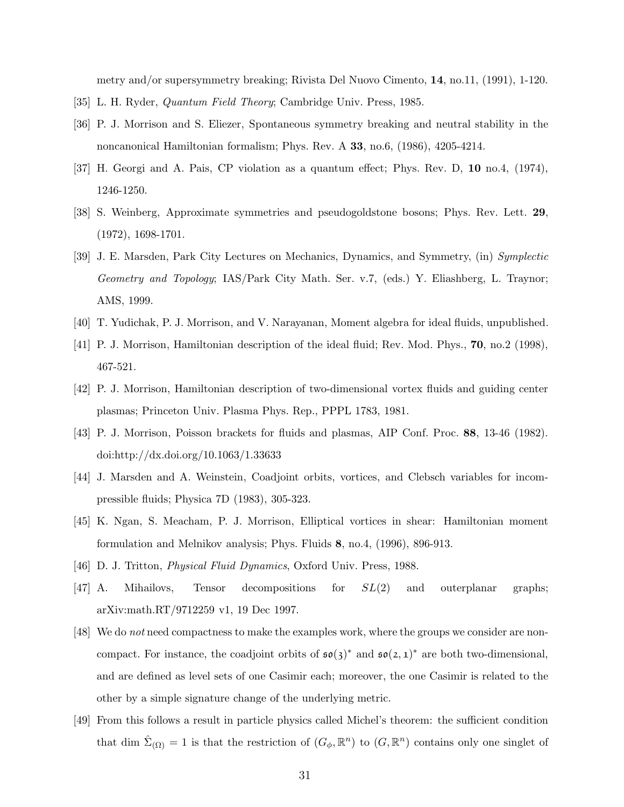metry and/or supersymmetry breaking; Rivista Del Nuovo Cimento, 14, no.11, (1991), 1-120.

- <span id="page-30-3"></span><span id="page-30-2"></span>[35] L. H. Ryder, *Quantum Field Theory*; Cambridge Univ. Press, 1985.
- [36] P. J. Morrison and S. Eliezer, Spontaneous symmetry breaking and neutral stability in the noncanonical Hamiltonian formalism; Phys. Rev. A 33, no.6, (1986), 4205-4214.
- <span id="page-30-12"></span>[37] H. Georgi and A. Pais, CP violation as a quantum effect; Phys. Rev. D, 10 no.4, (1974), 1246-1250.
- <span id="page-30-13"></span>[38] S. Weinberg, Approximate symmetries and pseudogoldstone bosons; Phys. Rev. Lett. 29, (1972), 1698-1701.
- <span id="page-30-4"></span>[39] J. E. Marsden, Park City Lectures on Mechanics, Dynamics, and Symmetry, (in) *Symplectic Geometry and Topology*; IAS/Park City Math. Ser. v.7, (eds.) Y. Eliashberg, L. Traynor; AMS, 1999.
- <span id="page-30-6"></span><span id="page-30-5"></span>[40] T. Yudichak, P. J. Morrison, and V. Narayanan, Moment algebra for ideal fluids, unpublished.
- [41] P. J. Morrison, Hamiltonian description of the ideal fluid; Rev. Mod. Phys., 70, no.2 (1998), 467-521.
- <span id="page-30-7"></span>[42] P. J. Morrison, Hamiltonian description of two-dimensional vortex fluids and guiding center plasmas; Princeton Univ. Plasma Phys. Rep., PPPL 1783, 1981.
- <span id="page-30-8"></span>[43] P. J. Morrison, Poisson brackets for fluids and plasmas, AIP Conf. Proc. 88, 13-46 (1982). doi:http://dx.doi.org/10.1063/1.33633
- <span id="page-30-9"></span>[44] J. Marsden and A. Weinstein, Coadjoint orbits, vortices, and Clebsch variables for incompressible fluids; Physica 7D (1983), 305-323.
- <span id="page-30-10"></span>[45] K. Ngan, S. Meacham, P. J. Morrison, Elliptical vortices in shear: Hamiltonian moment formulation and Melnikov analysis; Phys. Fluids 8, no.4, (1996), 896-913.
- [46] D. J. Tritton, *Physical Fluid Dynamics*, Oxford Univ. Press, 1988.
- <span id="page-30-11"></span>[47] A. Mihailovs, Tensor decompositions for SL(2) and outerplanar graphs; arXiv:math.RT/9712259 v1, 19 Dec 1997.
- <span id="page-30-0"></span>[48] We do *not* need compactness to make the examples work, where the groups we consider are noncompact. For instance, the coadjoint orbits of  $\mathfrak{so}(3)^*$  and  $\mathfrak{so}(2,1)^*$  are both two-dimensional, and are defined as level sets of one Casimir each; moreover, the one Casimir is related to the other by a simple signature change of the underlying metric.
- <span id="page-30-1"></span>[49] From this follows a result in particle physics called Michel's theorem: the sufficient condition that dim  $\hat{\Sigma}_{(\Omega)} = 1$  is that the restriction of  $(G_{\phi}, \mathbb{R}^n)$  to  $(G, \mathbb{R}^n)$  contains only one singlet of